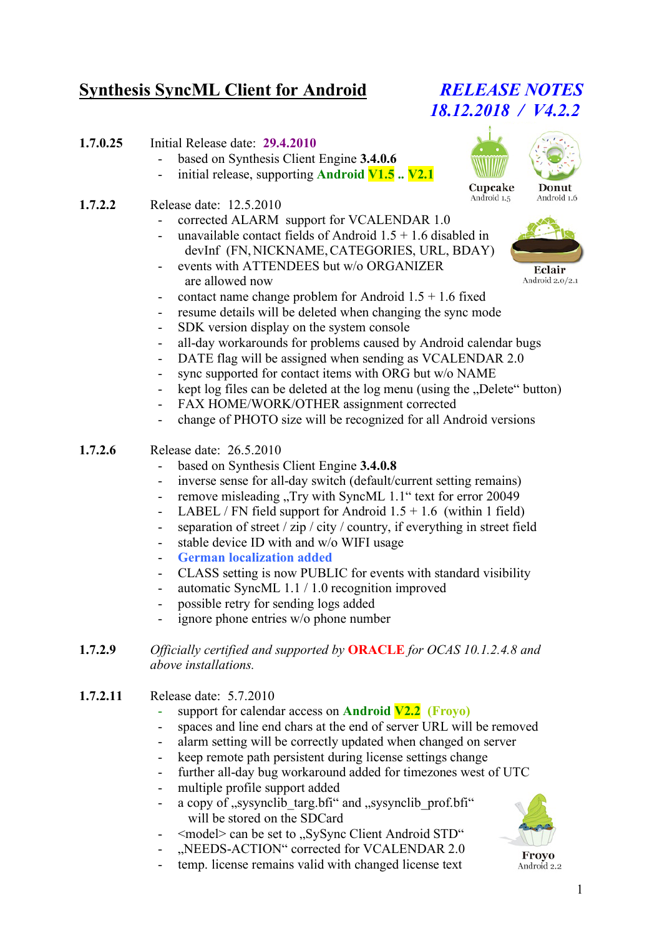# **Synthesis SyncML Client for Android** *RELEASE NOTES*

- **1.7.0.25** Initial Release date: **29.4.2010**
	- based on Synthesis Client Engine **3.4.0.6**
	- initial release, supporting **Android V1.5 ..** V2.1
- **1.7.2.2** Release date: 12.5.2010
	- corrected ALARM support for VCALENDAR 1.0
	- unavailable contact fields of Android  $1.5 + 1.6$  disabled in devInf (FN,NICKNAME,CATEGORIES, URL, BDAY)
	- events with ATTENDEES but w/o ORGANIZER are allowed now
	- contact name change problem for Android  $1.5 + 1.6$  fixed
	- resume details will be deleted when changing the sync mode
	- SDK version display on the system console
	- all-day workarounds for problems caused by Android calendar bugs
	- DATE flag will be assigned when sending as VCALENDAR 2.0
	- sync supported for contact items with ORG but w/o NAME
	- kept log files can be deleted at the log menu (using the ...Delete" button)
	- FAX HOME/WORK/OTHER assignment corrected
	- change of PHOTO size will be recognized for all Android versions
- **1.7.2.6** Release date: 26.5.2010
	- based on Synthesis Client Engine **3.4.0.8**
	- inverse sense for all-day switch (default/current setting remains)
	- remove misleading "Try with SyncML 1.1" text for error 20049
	- LABEL / FN field support for Android  $1.5 + 1.6$  (within 1 field)
	- separation of street / zip / city / country, if everything in street field
	- stable device ID with and w/o WIFI usage
	- **German localization added**
	- CLASS setting is now PUBLIC for events with standard visibility
	- automatic SyncML 1.1 / 1.0 recognition improved
	- possible retry for sending logs added
	- ignore phone entries w/o phone number
- **1.7.2.9** *Officially certified and supported by* **ORACLE** *for OCAS 10.1.2.4.8 and above installations.*
- **1.7.2.11** Release date: 5.7.2010
	- support for calendar access on **Android V2.2** (Froyo)
	- spaces and line end chars at the end of server URL will be removed
	- alarm setting will be correctly updated when changed on server
	- keep remote path persistent during license settings change
	- further all-day bug workaround added for timezones west of UTC
	- multiple profile support added
	- a copy of "sysynclib targ.bfi" and "sysynclib prof.bfi" will be stored on the SDCard
	- <model> can be set to "SySync Client Android STD"
		- "NEEDS-ACTION" corrected for VCALENDAR 2.0
	- temp. license remains valid with changed license text

Frovo

1

# *18.12.2018 / V4.2.2*



Eclair Android 2.0/2.1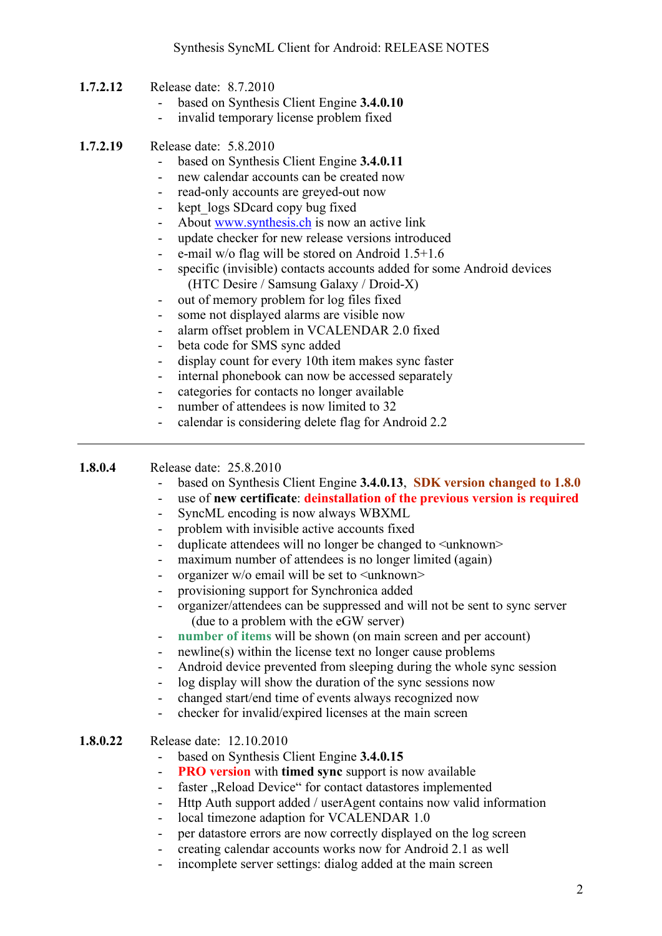- **1.7.2.12** Release date: 8.7.2010
	- based on Synthesis Client Engine **3.4.0.10**
	- invalid temporary license problem fixed
- **1.7.2.19** Release date: 5.8.2010
	- based on Synthesis Client Engine **3.4.0.11**
	- new calendar accounts can be created now
	- read-only accounts are greyed-out now
	- kept logs SDcard copy bug fixed
	- About www.synthesis.ch is now an active link
	- update checker for new release versions introduced
	- e-mail w/o flag will be stored on Android 1.5+1.6
	- specific (invisible) contacts accounts added for some Android devices (HTC Desire / Samsung Galaxy / Droid-X)
	- out of memory problem for log files fixed
	- some not displayed alarms are visible now
	- alarm offset problem in VCALENDAR 2.0 fixed
	- beta code for SMS sync added
	- display count for every 10th item makes sync faster
	- internal phonebook can now be accessed separately
	- categories for contacts no longer available
	- number of attendees is now limited to 32
	- calendar is considering delete flag for Android 2.2

#### **1.8.0.4** Release date: 25.8.2010

- based on Synthesis Client Engine **3.4.0.13**, **SDK version changed to 1.8.0**
	- use of **new certificate**: **deinstallation of the previous version is required**
- SyncML encoding is now always WBXML
- problem with invisible active accounts fixed
- duplicate attendees will no longer be changed to  $\langle$ unknown $\rangle$
- maximum number of attendees is no longer limited (again)
- organizer w/o email will be set to <unknown>
- provisioning support for Synchronica added
- organizer/attendees can be suppressed and will not be sent to sync server (due to a problem with the eGW server)
- **number of items** will be shown (on main screen and per account)
- newline(s) within the license text no longer cause problems
- Android device prevented from sleeping during the whole sync session
- log display will show the duration of the sync sessions now
- changed start/end time of events always recognized now
- checker for invalid/expired licenses at the main screen

#### **1.8.0.22** Release date: 12.10.2010

- based on Synthesis Client Engine **3.4.0.15**
- **PRO version** with **timed** sync support is now available
- faster "Reload Device" for contact datastores implemented
- Http Auth support added / userAgent contains now valid information
- local timezone adaption for VCALENDAR 1.0
- per datastore errors are now correctly displayed on the log screen
- creating calendar accounts works now for Android 2.1 as well
- incomplete server settings: dialog added at the main screen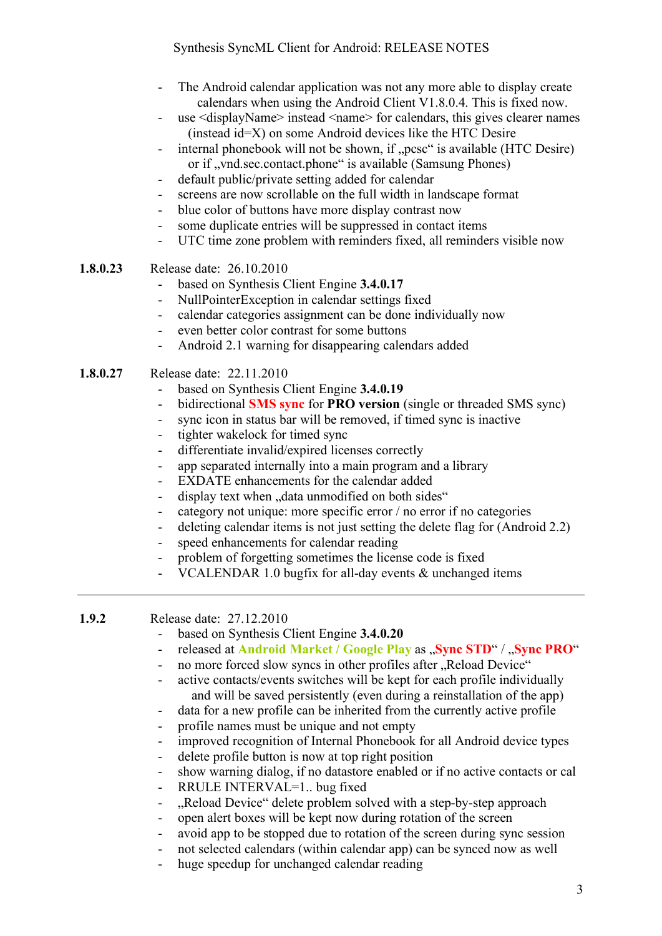- The Android calendar application was not any more able to display create calendars when using the Android Client V1.8.0.4. This is fixed now.
- use <displayName> instead <name> for calendars, this gives clearer names (instead id=X) on some Android devices like the HTC Desire
- internal phonebook will not be shown, if "pcsc" is available (HTC Desire) or if "vnd.sec.contact.phone" is available (Samsung Phones)
- default public/private setting added for calendar
- screens are now scrollable on the full width in landscape format
- blue color of buttons have more display contrast now
- some duplicate entries will be suppressed in contact items
- UTC time zone problem with reminders fixed, all reminders visible now
- **1.8.0.23** Release date: 26.10.2010
	- based on Synthesis Client Engine **3.4.0.17**
	- NullPointerException in calendar settings fixed
	- calendar categories assignment can be done individually now
	- even better color contrast for some buttons
	- Android 2.1 warning for disappearing calendars added
- **1.8.0.27** Release date: 22.11.2010
	- based on Synthesis Client Engine **3.4.0.19**
	- bidirectional **SMS sync** for **PRO version** (single or threaded SMS sync)
	- sync icon in status bar will be removed, if timed sync is inactive
	- tighter wakelock for timed sync
	- differentiate invalid/expired licenses correctly
	- app separated internally into a main program and a library
	- EXDATE enhancements for the calendar added
	- display text when ... data unmodified on both sides"
	- category not unique: more specific error / no error if no categories
	- deleting calendar items is not just setting the delete flag for (Android 2.2)
	- speed enhancements for calendar reading
	- problem of forgetting sometimes the license code is fixed
	- VCALENDAR 1.0 bugfix for all-day events  $&$  unchanged items

**1.9.2** Release date: 27.12.2010

- based on Synthesis Client Engine **3.4.0.20**
- released at **Android Market / Google Play** as "Sync STD" / "Sync PRO"
- no more forced slow syncs in other profiles after ..Reload Device"
- active contacts/events switches will be kept for each profile individually and will be saved persistently (even during a reinstallation of the app)
- data for a new profile can be inherited from the currently active profile
- profile names must be unique and not empty
- improved recognition of Internal Phonebook for all Android device types
- delete profile button is now at top right position
- show warning dialog, if no datastore enabled or if no active contacts or cal
- RRULE INTERVAL=1.. bug fixed
- "Reload Device" delete problem solved with a step-by-step approach
- open alert boxes will be kept now during rotation of the screen
- avoid app to be stopped due to rotation of the screen during sync session
- not selected calendars (within calendar app) can be synced now as well
- huge speedup for unchanged calendar reading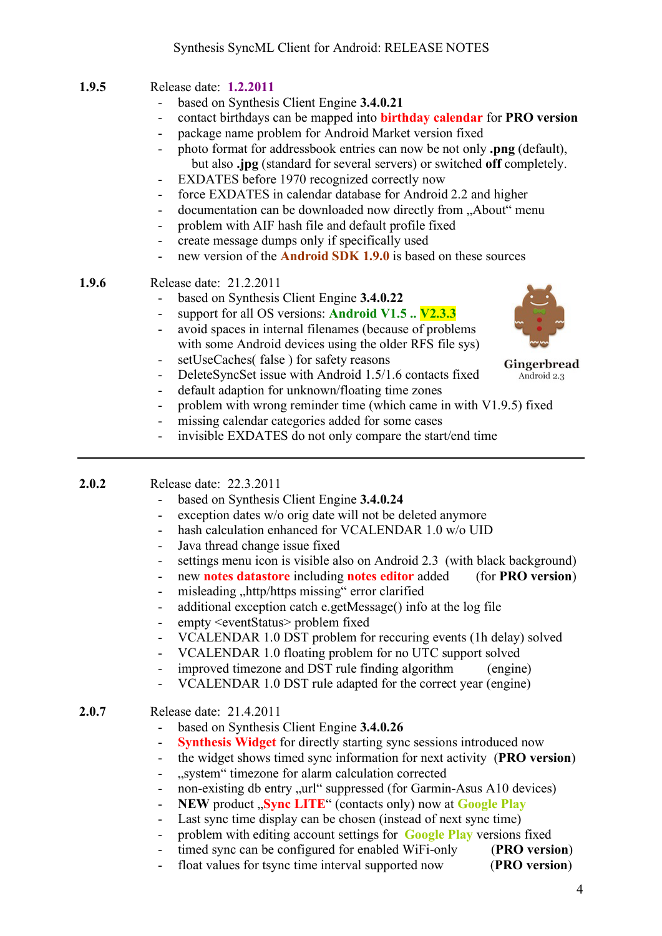- based on Synthesis Client Engine **3.4.0.21**
- contact birthdays can be mapped into **birthday calendar** for **PRO version**
- package name problem for Android Market version fixed
- photo format for addressbook entries can now be not only **.png** (default), but also **.jpg** (standard for several servers) or switched **off** completely.
- EXDATES before 1970 recognized correctly now
- force EXDATES in calendar database for Android 2.2 and higher
- documentation can be downloaded now directly from "About" menu
- problem with AIF hash file and default profile fixed
- create message dumps only if specifically used
- new version of the **Android SDK 1.9.0** is based on these sources

### **1.9.6** Release date: 21.2.2011

- based on Synthesis Client Engine **3.4.0.22**
- support for all OS versions: **Android V1.5 .. V2.3.3**
- avoid spaces in internal filenames (because of problems with some Android devices using the older RFS file sys)
- setUseCaches( false ) for safety reasons
- DeleteSyncSet issue with Android 1.5/1.6 contacts fixed
- default adaption for unknown/floating time zones
- problem with wrong reminder time (which came in with V1.9.5) fixed
- missing calendar categories added for some cases
- invisible EXDATES do not only compare the start/end time

#### **2.0.2** Release date: 22.3.2011

- based on Synthesis Client Engine **3.4.0.24**
- exception dates w/o orig date will not be deleted anymore
- hash calculation enhanced for VCALENDAR 1.0 w/o UID
- Java thread change issue fixed
- settings menu icon is visible also on Android 2.3 (with black background)
- new **notes datastore** including **notes editor** added (for **PRO version**)
- misleading "http/https missing" error clarified
- additional exception catch e.getMessage() info at the log file
- empty <eventStatus> problem fixed
- VCALENDAR 1.0 DST problem for reccuring events (1h delay) solved
- VCALENDAR 1.0 floating problem for no UTC support solved
- improved timezone and DST rule finding algorithm (engine)
- VCALENDAR 1.0 DST rule adapted for the correct year (engine)

#### **2.0.7** Release date: 21.4.2011

- based on Synthesis Client Engine **3.4.0.26**
- **Synthesis Widget** for directly starting sync sessions introduced now
- the widget shows timed sync information for next activity (**PRO version**)
- ..system" timezone for alarm calculation corrected
- non-existing db entry "url" suppressed (for Garmin-Asus A10 devices)
- **NEW** product "Sync LITE" (contacts only) now at **Google Play**
- Last sync time display can be chosen (instead of next sync time)
- problem with editing account settings for **Google Play** versions fixed
- timed sync can be configured for enabled WiFi-only (**PRO version**)
- float values for tsync time interval supported now (**PRO version**)



Gingerbread Android 2.3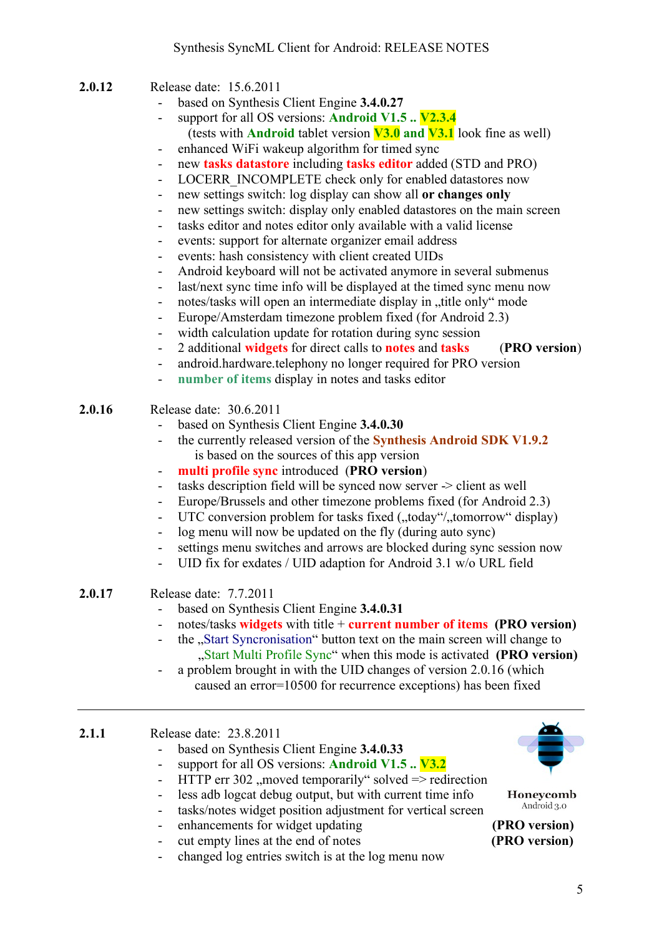- **2.0.12** Release date: 15.6.2011
	- based on Synthesis Client Engine **3.4.0.27**
	- support for all OS versions: **Android V1.5 .. V2.3.4** (tests with **Android** tablet version **V3.0 and V3.1** look fine as well)
	- enhanced WiFi wakeup algorithm for timed sync
	- new **tasks datastore** including **tasks editor** added (STD and PRO)
	- LOCERR\_INCOMPLETE check only for enabled datastores now
	- new settings switch: log display can show all **or changes only**
	- new settings switch: display only enabled datastores on the main screen
	- tasks editor and notes editor only available with a valid license
	- events: support for alternate organizer email address
	- events: hash consistency with client created UIDs
	- Android keyboard will not be activated anymore in several submenus
	- last/next sync time info will be displayed at the timed sync menu now
	- notes/tasks will open an intermediate display in ..title only "mode"
	- Europe/Amsterdam timezone problem fixed (for Android 2.3)
	- width calculation update for rotation during sync session
	- 2 additional **widgets** for direct calls to **notes** and **tasks** (**PRO version**)
	- android.hardware.telephony no longer required for PRO version
	- **number of items** display in notes and tasks editor
- **2.0.16** Release date: 30.6.2011
	- based on Synthesis Client Engine **3.4.0.30**
	- the currently released version of the **Synthesis Android SDK V1.9.2**  is based on the sources of this app version
	- **multi profile sync** introduced (**PRO version**)
	- tasks description field will be synced now server -> client as well
	- Europe/Brussels and other timezone problems fixed (for Android 2.3)
	- UTC conversion problem for tasks fixed ("today"/"tomorrow" display)
	- log menu will now be updated on the fly (during auto sync)
	- settings menu switches and arrows are blocked during sync session now
	- UID fix for exdates / UID adaption for Android 3.1 w/o URL field
- **2.0.17** Release date: 7.7.2011
	- based on Synthesis Client Engine **3.4.0.31**
	- notes/tasks **widgets** with title + **current number of items (PRO version)**
	- the ...Start Syncronisation" button text on the main screen will change to "Start Multi Profile Sync" when this mode is activated **(PRO version)**
	- a problem brought in with the UID changes of version 2.0.16 (which caused an error=10500 for recurrence exceptions) has been fixed

#### **2.1.1** Release date: 23.8.2011

- based on Synthesis Client Engine **3.4.0.33**
- support for all OS versions: **Android V1.5 .. V3.2**
- HTTP err 302 , moved temporarily "solved  $\Rightarrow$  redirection
- less adb logcat debug output, but with current time info
- tasks/notes widget position adjustment for vertical screen
- enhancements for widget updating **(PRO version)**
- cut empty lines at the end of notes **(PRO version)**
- changed log entries switch is at the log menu now



Honeycomb Android 3.0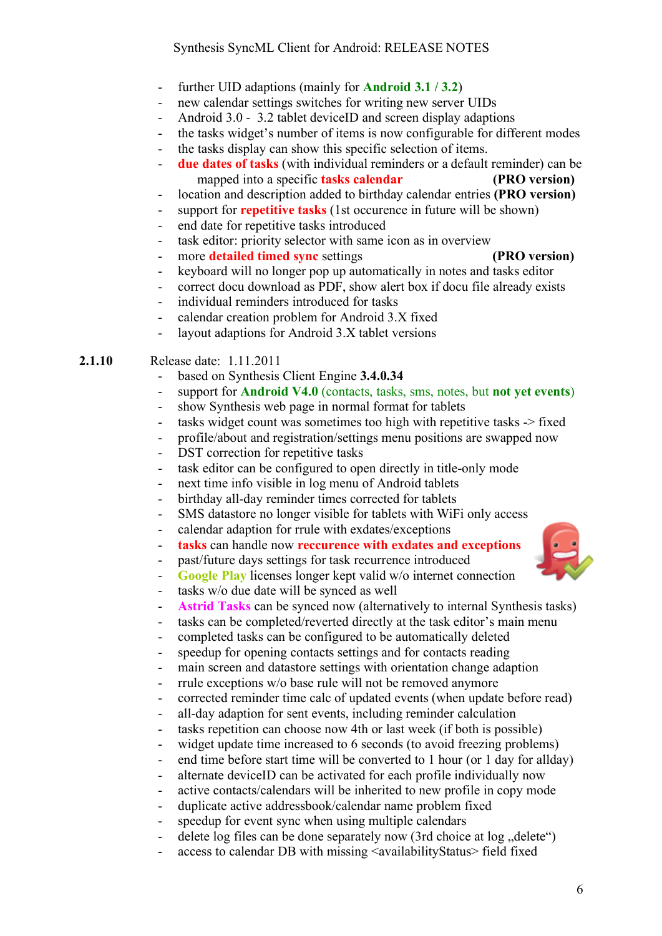- further UID adaptions (mainly for **Android 3.1 / 3.2**)
- new calendar settings switches for writing new server UIDs
- Android 3.0 3.2 tablet deviceID and screen display adaptions
- the tasks widget's number of items is now configurable for different modes
- the tasks display can show this specific selection of items.
- **due dates of tasks** (with individual reminders or a default reminder) can be mapped into a specific **tasks calendar** (PRO version)
- location and description added to birthday calendar entries **(PRO version)**
- support for **repetitive tasks** (1st occurence in future will be shown)
- end date for repetitive tasks introduced
- task editor: priority selector with same icon as in overview
- more **detailed timed sync** settings **(PRO version)**

- keyboard will no longer pop up automatically in notes and tasks editor
- correct docu download as PDF, show alert box if docu file already exists
- individual reminders introduced for tasks
- calendar creation problem for Android 3.X fixed
- layout adaptions for Android 3.X tablet versions

**2.1.10** Release date: 1.11.2011

- based on Synthesis Client Engine **3.4.0.34**
- support for **Android V4.0** (contacts, tasks, sms, notes, but **not yet events**)
- show Synthesis web page in normal format for tablets
- tasks widget count was sometimes too high with repetitive tasks  $\rightarrow$  fixed
- profile/about and registration/settings menu positions are swapped now
- DST correction for repetitive tasks
- task editor can be configured to open directly in title-only mode
- next time info visible in log menu of Android tablets
- birthday all-day reminder times corrected for tablets
- SMS datastore no longer visible for tablets with WiFi only access
- calendar adaption for rrule with exdates/exceptions
- **tasks** can handle now **reccurence with exdates and exceptions**
- past/future days settings for task recurrence introduced
- **Google Play** licenses longer kept valid w/o internet connection
- tasks w/o due date will be synced as well
- **Astrid Tasks** can be synced now (alternatively to internal Synthesis tasks)
- tasks can be completed/reverted directly at the task editor's main menu
- completed tasks can be configured to be automatically deleted
- speedup for opening contacts settings and for contacts reading
- main screen and datastore settings with orientation change adaption
- rrule exceptions w/o base rule will not be removed anymore
- corrected reminder time calc of updated events (when update before read)
- all-day adaption for sent events, including reminder calculation
- tasks repetition can choose now 4th or last week (if both is possible)
- widget update time increased to 6 seconds (to avoid freezing problems)
- end time before start time will be converted to 1 hour (or 1 day for allday)
- alternate deviceID can be activated for each profile individually now
- active contacts/calendars will be inherited to new profile in copy mode
- duplicate active addressbook/calendar name problem fixed
- speedup for event sync when using multiple calendars
- delete log files can be done separately now  $(3rd \text{ choice at } log \text{ } .delta \text{ } c)$
- access to calendar DB with missing <availabilityStatus> field fixed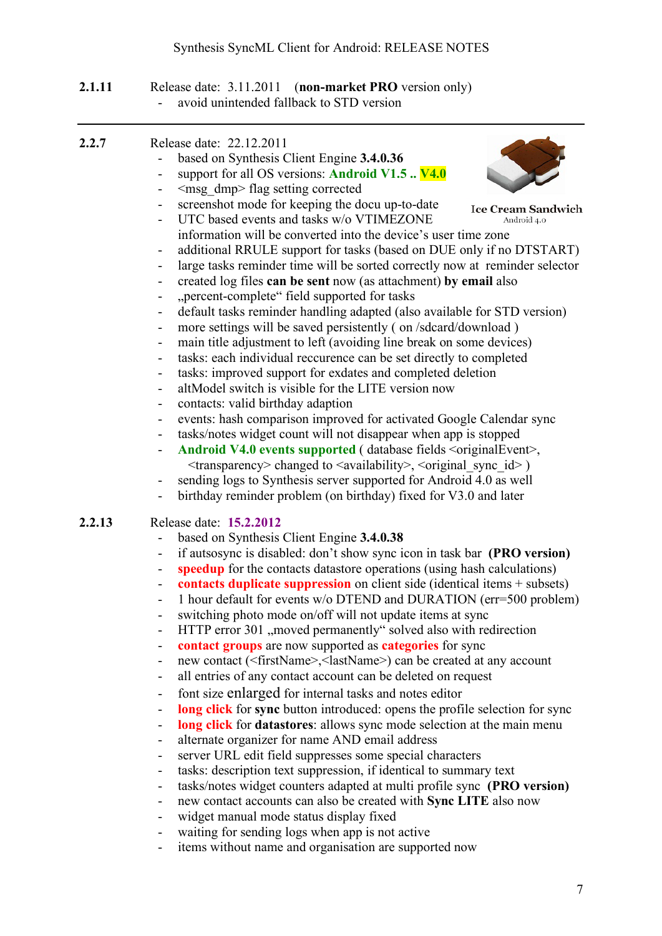#### **2.1.11** Release date: 3.11.2011 (**non-market PRO** version only) - avoid unintended fallback to STD version

| 2.2.7  | Release date: 22.12.2011<br>based on Synthesis Client Engine 3.4.0.36<br>support for all OS versions: Android V1.5  V4.0<br>$\overline{\phantom{0}}$<br><msg dmp=""> flag setting corrected<br/>-</msg>                                                                                                                                                                                                                                                                                                                                                                                                                                                                                                                                                                                                                                                                                                                                                                                                                                                                                                                                                                                                                                                                                                                                                                                                                                                                                                                                                           |
|--------|-------------------------------------------------------------------------------------------------------------------------------------------------------------------------------------------------------------------------------------------------------------------------------------------------------------------------------------------------------------------------------------------------------------------------------------------------------------------------------------------------------------------------------------------------------------------------------------------------------------------------------------------------------------------------------------------------------------------------------------------------------------------------------------------------------------------------------------------------------------------------------------------------------------------------------------------------------------------------------------------------------------------------------------------------------------------------------------------------------------------------------------------------------------------------------------------------------------------------------------------------------------------------------------------------------------------------------------------------------------------------------------------------------------------------------------------------------------------------------------------------------------------------------------------------------------------|
|        | screenshot mode for keeping the docu up-to-date<br>$\overline{\phantom{0}}$<br><b>Ice Cream Sandwich</b><br>UTC based events and tasks w/o VTIMEZONE<br>Android 4.0<br>-<br>information will be converted into the device's user time zone<br>additional RRULE support for tasks (based on DUE only if no DTSTART)<br>-<br>large tasks reminder time will be sorted correctly now at reminder selector<br>۰<br>created log files can be sent now (as attachment) by email also<br>$\overline{\phantom{0}}$<br>"percent-complete" field supported for tasks<br>-<br>default tasks reminder handling adapted (also available for STD version)<br>۰<br>more settings will be saved persistently (on /sdcard/download)<br>-<br>main title adjustment to left (avoiding line break on some devices)<br>-<br>tasks: each individual reccurence can be set directly to completed<br>$\overline{\phantom{0}}$<br>tasks: improved support for exdates and completed deletion<br>-<br>altModel switch is visible for the LITE version now<br>$\overline{\phantom{0}}$<br>contacts: valid birthday adaption<br>-<br>events: hash comparison improved for activated Google Calendar sync<br>۰<br>tasks/notes widget count will not disappear when app is stopped<br>$\overline{\phantom{0}}$<br>Android V4.0 events supported (database fields <originalevent>,</originalevent>                                                                                                                                                                                               |
|        | $\langle$ transparency> changed to $\langle$ availability>, $\langle$ original sync id>)<br>sending logs to Synthesis server supported for Android 4.0 as well<br>birthday reminder problem (on birthday) fixed for V3.0 and later<br>$\overline{\phantom{0}}$                                                                                                                                                                                                                                                                                                                                                                                                                                                                                                                                                                                                                                                                                                                                                                                                                                                                                                                                                                                                                                                                                                                                                                                                                                                                                                    |
| 2.2.13 | Release date: 15.2.2012<br>based on Synthesis Client Engine 3.4.0.38<br>if autsosync is disabled: don't show sync icon in task bar (PRO version)<br>۰<br>speedup for the contacts datastore operations (using hash calculations)<br>contacts duplicate suppression on client side (identical items $+$ subsets)<br>-<br>1 hour default for events w/o DTEND and DURATION (err=500 problem)<br>-<br>switching photo mode on/off will not update items at sync<br>-<br>HTTP error 301, moved permanently solved also with redirection<br>contact groups are now supported as categories for sync<br>-<br>new contact ( <firstname>,<lastname>) can be created at any account<br/>-<br/>all entries of any contact account can be deleted on request<br/>-<br/>font size enlarged for internal tasks and notes editor<br/>۰<br/>long click for sync button introduced: opens the profile selection for sync<br/>-<br/>long click for datastores: allows sync mode selection at the main menu<br/>-<br/>alternate organizer for name AND email address<br/>-<br/>server URL edit field suppresses some special characters<br/>۰<br/>tasks: description text suppression, if identical to summary text<br/>-<br/>tasks/notes widget counters adapted at multi profile sync (PRO version)<br/>-<br/>new contact accounts can also be created with Sync LITE also now<br/>widget manual mode status display fixed<br/>-<br/>waiting for sending logs when app is not active<br/>-<br/>items without name and organisation are supported now<br/>۰</lastname></firstname> |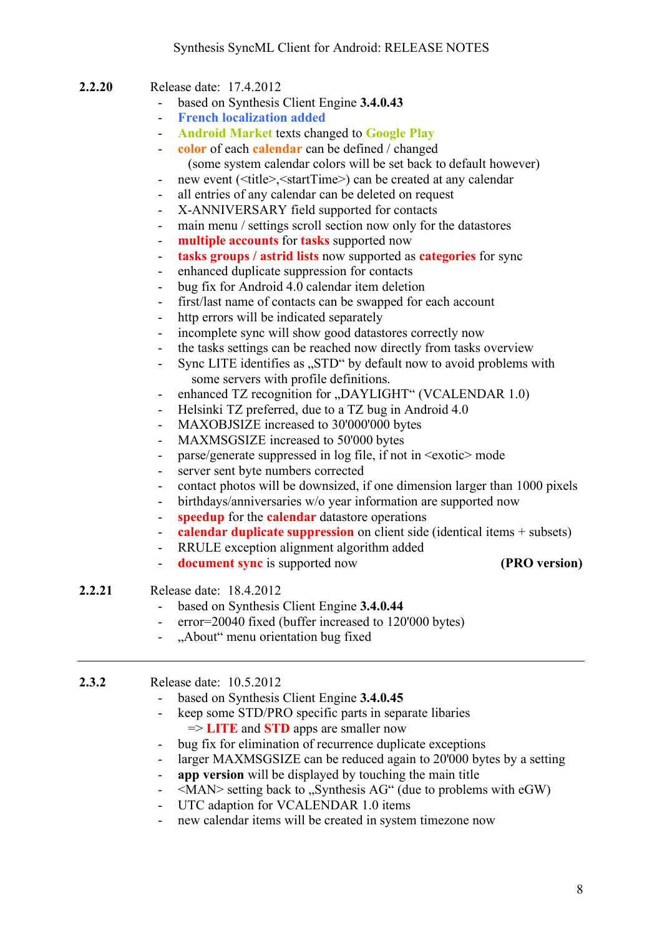- **2.2.20** Release date: 17.4.2012
	- based on Synthesis Client Engine **3.4.0.43**
	- **French localization added**
	- **Android Market** texts changed to **Google Play**
	- **color** of each **calendar** can be defined / changed (some system calendar colors will be set back to default however)
	- new event (<title>, <startTime>) can be created at any calendar
	- all entries of any calendar can be deleted on request
	- X-ANNIVERSARY field supported for contacts
	- main menu / settings scroll section now only for the datastores
	- **multiple accounts** for **tasks** supported now
	- **tasks groups / astrid lists** now supported as **categories** for sync
	- enhanced duplicate suppression for contacts
	- bug fix for Android 4.0 calendar item deletion
	- first/last name of contacts can be swapped for each account
	- http errors will be indicated separately
	- incomplete sync will show good datastores correctly now
	- the tasks settings can be reached now directly from tasks overview
	- Sync LITE identifies as "STD" by default now to avoid problems with some servers with profile definitions.
	- enhanced TZ recognition for "DAYLIGHT" (VCALENDAR 1.0)
	- Helsinki TZ preferred, due to a TZ bug in Android 4.0
	- MAXOBJSIZE increased to 30'000'000 bytes
	- MAXMSGSIZE increased to 50'000 bytes
	- parse/generate suppressed in log file, if not in  $\leq$  exotic  $\geq$  mode
	- server sent byte numbers corrected
	- contact photos will be downsized, if one dimension larger than 1000 pixels
	- birthdays/anniversaries w/o year information are supported now
	- **speedup** for the **calendar** datastore operations
	- **calendar duplicate suppression** on client side (identical items + subsets)
	- RRULE exception alignment algorithm added
	- **document sync** is supported now **(PRO version)**
		-

#### **2.2.21** Release date: 18.4.2012

- based on Synthesis Client Engine **3.4.0.44**
- error=20040 fixed (buffer increased to 120'000 bytes)
- "About" menu orientation bug fixed

#### **2.3.2** Release date: 10.5.2012

- based on Synthesis Client Engine **3.4.0.45**
- keep some STD/PRO specific parts in separate libaries => **LITE** and **STD** apps are smaller now
- bug fix for elimination of recurrence duplicate exceptions
- larger MAXMSGSIZE can be reduced again to 20'000 bytes by a setting
- **app version** will be displayed by touching the main title
- $\leq$ MAN> setting back to "Synthesis AG" (due to problems with eGW)
- UTC adaption for VCALENDAR 1.0 items
- new calendar items will be created in system timezone now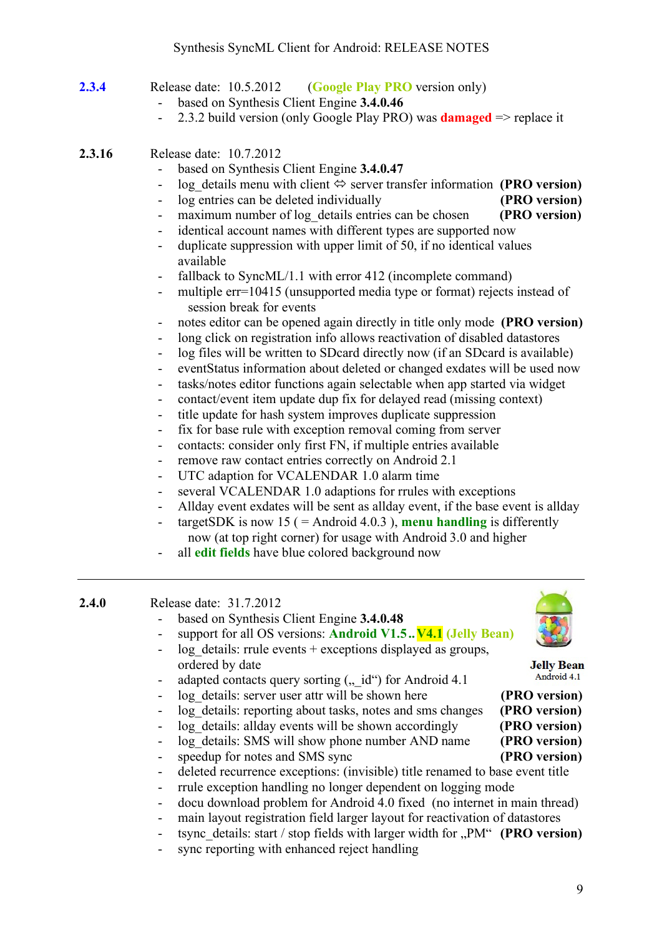- **2.3.4** Release date: 10.5.2012 (**Google Play PRO** version only)
	- based on Synthesis Client Engine **3.4.0.46**
	- 2.3.2 build version (only Google Play PRO) was **damaged** => replace it
- **2.3.16** Release date: 10.7.2012
	- based on Synthesis Client Engine **3.4.0.47**
	- log details menu with client  $\Leftrightarrow$  server transfer information **(PRO version)**
	- log entries can be deleted individually **(PRO version)**
	- maximum number of log details entries can be chosen **(PRO version)**
	- identical account names with different types are supported now
	- duplicate suppression with upper limit of 50, if no identical values available
	- fallback to SyncML/1.1 with error 412 (incomplete command)
	- multiple err=10415 (unsupported media type or format) rejects instead of session break for events
	- notes editor can be opened again directly in title only mode **(PRO version)**
	- long click on registration info allows reactivation of disabled datastores
	- log files will be written to SDcard directly now (if an SDcard is available)
	- eventStatus information about deleted or changed exdates will be used now
	- tasks/notes editor functions again selectable when app started via widget
	- contact/event item update dup fix for delayed read (missing context)
	- title update for hash system improves duplicate suppression
	- fix for base rule with exception removal coming from server
	- contacts: consider only first FN, if multiple entries available
	- remove raw contact entries correctly on Android 2.1
	- UTC adaption for VCALENDAR 1.0 alarm time
	- several VCALENDAR 1.0 adaptions for rrules with exceptions
	- Allday event exdates will be sent as allday event, if the base event is allday
	- targetSDK is now 15 ( $=$  Android 4.0.3), **menu handling** is differently now (at top right corner) for usage with Android 3.0 and higher
	- all **edit fields** have blue colored background now

#### **2.4.0** Release date: 31.7.2012

- based on Synthesis Client Engine **3.4.0.48**
- support for all OS versions: **Android V1.5.. V4.1 (Jelly Bean)**



**Jelly Bean** Android 4.1

 $log$  details: rrule events + exceptions displayed as groups, ordered by date

- adapted contacts query sorting  $($ , id") for Android 4.1
- log details: server user attr will be shown here **(PRO version)**
- log details: reporting about tasks, notes and sms changes **(PRO version)**
- log details: allday events will be shown accordingly **(PRO version)**
- log details: SMS will show phone number AND name **(PRO version)**
- speedup for notes and SMS sync **(PRO version)**
- deleted recurrence exceptions: (invisible) title renamed to base event title
- rrule exception handling no longer dependent on logging mode
- docu download problem for Android 4.0 fixed (no internet in main thread)
	- main layout registration field larger layout for reactivation of datastores
- tsync\_details: start / stop fields with larger width for ..PM" **(PRO version)**
- sync reporting with enhanced reject handling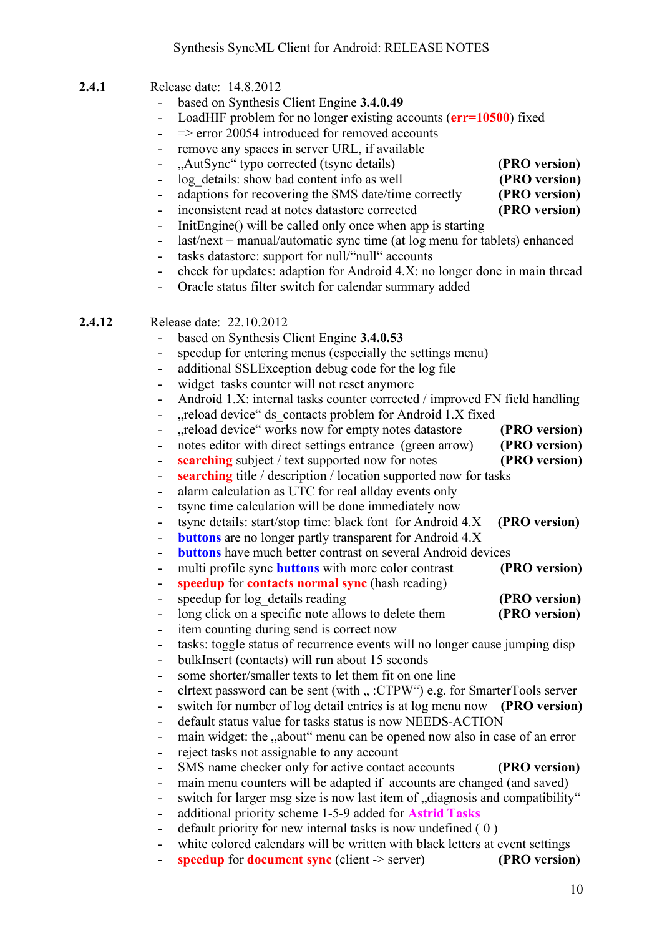- **2.4.1** Release date: 14.8.2012
	- based on Synthesis Client Engine **3.4.0.49**
	- LoadHIF problem for no longer existing accounts (**err=10500**) fixed
	- $\epsilon$  => error 20054 introduced for removed accounts
	- remove any spaces in server URL, if available
	- "AutSync" typo corrected (tsync details) **(PRO version)**
	- log details: show bad content info as well **(PRO version)**
	- adaptions for recovering the SMS date/time correctly **(PRO version)**
	- inconsistent read at notes datastore corrected **(PRO version)**
	- InitEngine() will be called only once when app is starting
	- last/next + manual/automatic sync time (at log menu for tablets) enhanced
	- tasks datastore: support for null/"null" accounts
	- check for updates: adaption for Android 4.X: no longer done in main thread
	- Oracle status filter switch for calendar summary added

#### **2.4.12** Release date: 22.10.2012

- based on Synthesis Client Engine **3.4.0.53**
- speedup for entering menus (especially the settings menu)
- additional SSLException debug code for the log file
- widget tasks counter will not reset anymore
- Android 1.X: internal tasks counter corrected / improved FN field handling
- "reload device" ds\_contacts problem for Android 1.X fixed
- .reload device" works now for empty notes datastore **(PRO version)**
- notes editor with direct settings entrance (green arrow) **(PRO version)**
- **searching** subject / text supported now for notes **(PRO version)**
- **searching** title / description / location supported now for tasks
- alarm calculation as UTC for real allday events only
- tsync time calculation will be done immediately now
- tsync details: start/stop time: black font for Android 4.X **(PRO version)**
- **buttons** are no longer partly transparent for Android 4.X
- **buttons** have much better contrast on several Android devices
- multi profile sync **buttons** with more color contrast **(PRO version)**
- **speedup** for **contacts normal sync** (hash reading)
- speedup for log details reading **(PRO version)**
- long click on a specific note allows to delete them **(PRO version)**
- item counting during send is correct now
- tasks: toggle status of recurrence events will no longer cause jumping disp
- bulkInsert (contacts) will run about 15 seconds
- some shorter/smaller texts to let them fit on one line
- clitext password can be sent (with ... :CTPW") e.g. for SmarterTools server
- switch for number of log detail entries is at log menu now **(PRO version)**
- default status value for tasks status is now NEEDS-ACTION
- main widget: the ..about" menu can be opened now also in case of an error
- reject tasks not assignable to any account
- SMS name checker only for active contact accounts **(PRO version)**
- main menu counters will be adapted if accounts are changed (and saved)
- switch for larger msg size is now last item of ...diagnosis and compatibility"
- additional priority scheme 1-5-9 added for **Astrid Tasks**
- default priority for new internal tasks is now undefined (0)
- white colored calendars will be written with black letters at event settings
- **speedup** for **document sync** (client -> server) **(PRO version)**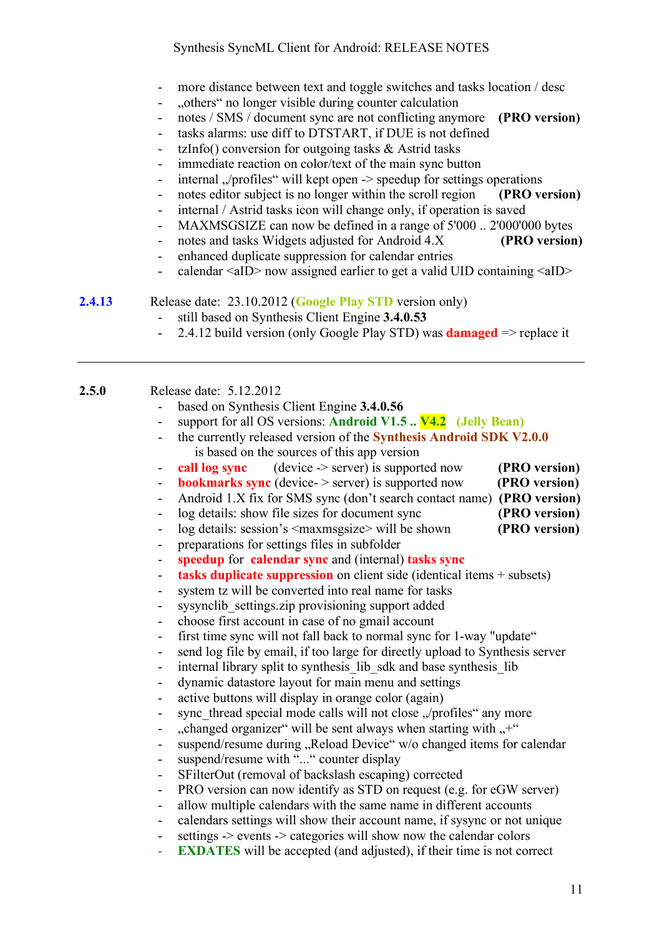- more distance between text and toggle switches and tasks location / desc
- "others" no longer visible during counter calculation
- notes / SMS / document sync are not conflicting anymore **(PRO version)**
- tasks alarms: use diff to DTSTART, if DUE is not defined
- tzInfo() conversion for outgoing tasks & Astrid tasks
- immediate reaction on color/text of the main sync button
- internal  $\sqrt{\text{profiles}}$ " will kept open  $\rightarrow$  speedup for settings operations
- notes editor subject is no longer within the scroll region **(PRO version)**
- internal / Astrid tasks icon will change only, if operation is saved
- MAXMSGSIZE can now be defined in a range of 5'000 .. 2'000'000 bytes
- notes and tasks Widgets adjusted for Android 4.X **(PRO version)**
- enhanced duplicate suppression for calendar entries
- $calar$  allowright calculated earlier to get a valid UID containing  $\langle$  allow-

**2.4.13** Release date: 23.10.2012 (**Google Play STD** version only)

- still based on Synthesis Client Engine **3.4.0.53**
- 2.4.12 build version (only Google Play STD) was **damaged** => replace it

| Release date: 5.12.2012<br>2.5.0 |  |
|----------------------------------|--|
|----------------------------------|--|

- based on Synthesis Client Engine **3.4.0.56**
	- support for all OS versions: **Android V1.5 .. V4.2 (Jelly Bean)**
- the currently released version of the **Synthesis Android SDK V2.0.0**  is based on the sources of this app version
- **call log sync** (device -> server) is supported now **(PRO version)**
- **bookmarks sync** (device- > server) is supported now **(PRO version)**
- Android 1.X fix for SMS sync (don't search contact name) **(PRO version)**
- log details: show file sizes for document sync **(PRO version)**
- log details: session's <maxmsgsize> will be shown **(PRO version)**
- preparations for settings files in subfolder
- **speedup** for **calendar sync** and (internal) **tasks sync**
- **tasks duplicate suppression** on client side (identical items + subsets)
- system tz will be converted into real name for tasks
- sysynclib settings.zip provisioning support added
- choose first account in case of no gmail account
- first time sync will not fall back to normal sync for 1-way "update"
- send log file by email, if too large for directly upload to Synthesis server
- internal library split to synthesis lib sdk and base synthesis lib
- dynamic datastore layout for main menu and settings
- active buttons will display in orange color (again)
- sync thread special mode calls will not close "/profiles" any more
- $\alpha$ , changed organizer" will be sent always when starting with  $\alpha$ <sup>+"</sup>
- suspend/resume during "Reload Device" w/o changed items for calendar
- suspend/resume with "..." counter display
- SFilterOut (removal of backslash escaping) corrected
- PRO version can now identify as STD on request (e.g. for eGW server)
- allow multiple calendars with the same name in different accounts
- calendars settings will show their account name, if sysync or not unique
- settings -> events -> categories will show now the calendar colors
- **EXDATES** will be accepted (and adjusted), if their time is not correct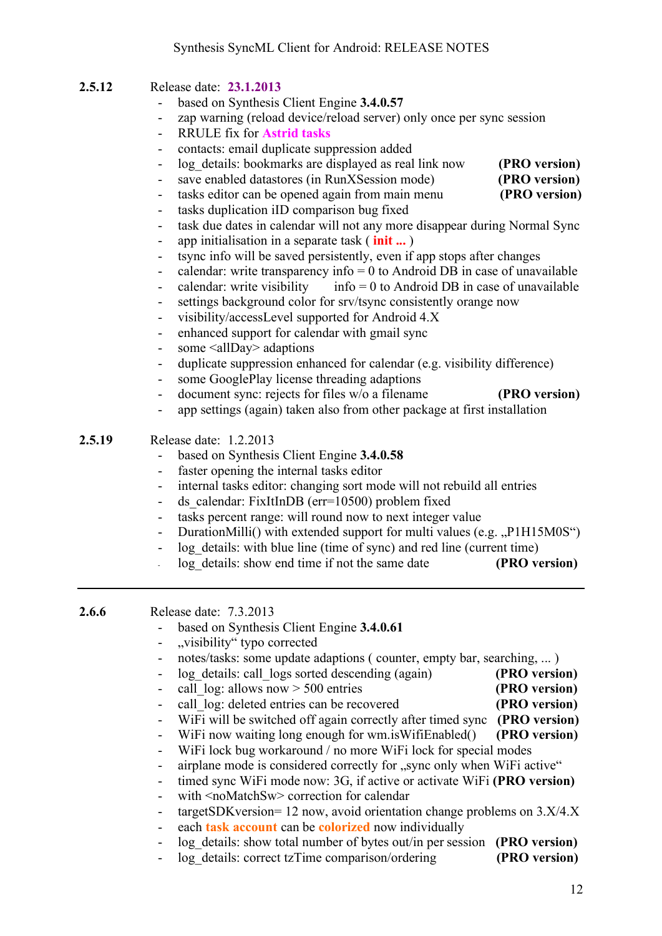### **2.5.12** Release date: **23.1.2013**

- based on Synthesis Client Engine **3.4.0.57**
- zap warning (reload device/reload server) only once per sync session
- RRULE fix for **Astrid tasks**
- contacts: email duplicate suppression added
- log details: bookmarks are displayed as real link now **(PRO version)**
- save enabled datastores (in RunXSession mode) **(PRO version)**
	-
- tasks duplication iID comparison bug fixed
- task due dates in calendar will not any more disappear during Normal Sync
- app initialisation in a separate task ( **init ...** )
- tsync info will be saved persistently, even if app stops after changes
- calendar: write transparency info  $= 0$  to Android DB in case of unavailable
- calendar: write visibility info = 0 to Android DB in case of unavailable
- settings background color for srv/tsync consistently orange now
- visibility/accessLevel supported for Android 4.X
- enhanced support for calendar with gmail sync
- some <allDay> adaptions
- duplicate suppression enhanced for calendar (e.g. visibility difference)
- some GooglePlay license threading adaptions
- document sync: rejects for files w/o a filename **(PRO version)**
- app settings (again) taken also from other package at first installation

#### **2.5.19** Release date: 1.2.2013

- based on Synthesis Client Engine **3.4.0.58**
- faster opening the internal tasks editor
- internal tasks editor: changing sort mode will not rebuild all entries
- ds\_calendar: FixItInDB (err=10500) problem fixed
- tasks percent range: will round now to next integer value
- DurationMilli() with extended support for multi values (e.g. "P1H15M0S")
- log details: with blue line (time of sync) and red line (current time)
	- log details: show end time if not the same date **(PRO version)**

**2.6.6** Release date: 7.3.2013

- based on Synthesis Client Engine **3.4.0.61**
- "visibility" typo corrected
- notes/tasks: some update adaptions ( counter, empty bar, searching, ... )
	- log details: call logs sorted descending (again) **(PRO version)**
- call log: allows now  $> 500$  entries **(PRO version)**
- call log: deleted entries can be recovered **(PRO version)**
- WiFi will be switched off again correctly after timed sync **(PRO version)**
	- WiFi now waiting long enough for wm.isWifiEnabled() **(PRO version)**

- WiFi lock bug workaround / no more WiFi lock for special modes

- airplane mode is considered correctly for "sync only when WiFi active"
- timed sync WiFi mode now: 3G, if active or activate WiFi **(PRO version)**
- with <noMatchSw> correction for calendar
- targetSDKversion= 12 now, avoid orientation change problems on  $3.X/4.X$
- each **task account** can be **colorized** now individually
- log details: show total number of bytes out/in per session **(PRO version)**
- log details: correct tzTime comparison/ordering **(PRO version)**
- 
- tasks editor can be opened again from main menu **(PRO version)**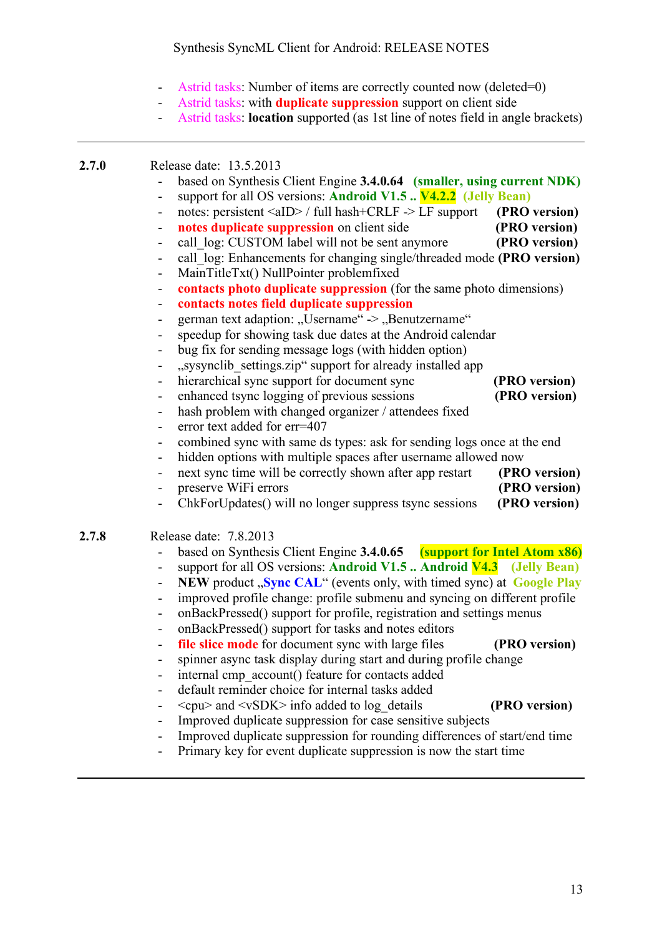- Astrid tasks: Number of items are correctly counted now (deleted=0)
- Astrid tasks: with **duplicate suppression** support on client side
- Astrid tasks: **location** supported (as 1st line of notes field in angle brackets)

#### **2.7.0** Release date: 13.5.2013

- based on Synthesis Client Engine **3.4.0.64 (smaller, using current NDK)** - support for all OS versions: **Android V1.5 .. V4.2.2 (Jelly Bean)**
- notes: persistent <aID> / full hash+CRLF -> LF support **(PRO version)**
- **notes duplicate suppression** on client side **(PRO version)**
- call  $log$ : CUSTOM label will not be sent anymore **(PRO version)**
- call\_log: Enhancements for changing single/threaded mode **(PRO version)**
- MainTitleTxt() NullPointer problemfixed
- **contacts photo duplicate suppression** (for the same photo dimensions)
- **contacts notes field duplicate suppression**
- german text adaption: "Username" -> "Benutzername"
- speedup for showing task due dates at the Android calendar
- bug fix for sending message logs (with hidden option)
- "sysynclib settings.zip" support for already installed app
- hierarchical sync support for document sync **(PRO version)**
- enhanced tsync logging of previous sessions **(PRO version)**
- hash problem with changed organizer / attendees fixed
- error text added for err=407
- combined sync with same ds types: ask for sending logs once at the end
- hidden options with multiple spaces after username allowed now
- next sync time will be correctly shown after app restart **(PRO version)**
- preserve WiFi errors **(PRO version)**
- ChkForUpdates() will no longer suppress tsync sessions **(PRO version)**
- **2.7.8** Release date: 7.8.2013
	- based on Synthesis Client Engine **3.4.0.65 (support for Intel Atom x86)**
	- support for all OS versions: **Android V1.5 .. Android V4.3 (Jelly Bean)**
	- **NEW** product **Sync CAL**" (events only, with timed sync) at **Google Play**
	- improved profile change: profile submenu and syncing on different profile
	- onBackPressed() support for profile, registration and settings menus
	- onBackPressed() support for tasks and notes editors
	- **file slice mode** for document sync with large files **(PRO version)**
	- spinner async task display during start and during profile change
	- internal cmp\_account() feature for contacts added
	- default reminder choice for internal tasks added
	- <cpu> and <vSDK> info added to log\_details **(PRO version)**
	- Improved duplicate suppression for case sensitive subjects
	- Improved duplicate suppression for rounding differences of start/end time
	- Primary key for event duplicate suppression is now the start time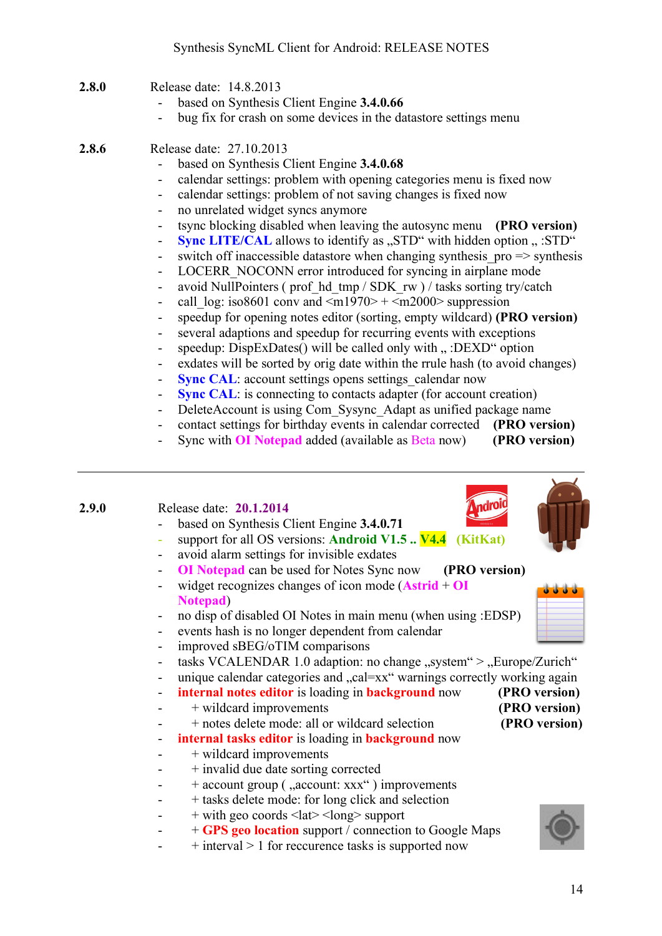- **2.8.0** Release date: 14.8.2013
	- based on Synthesis Client Engine **3.4.0.66**
	- bug fix for crash on some devices in the datastore settings menu
- **2.8.6** Release date: 27.10.2013
	- based on Synthesis Client Engine **3.4.0.68**
	- calendar settings: problem with opening categories menu is fixed now
	- calendar settings: problem of not saving changes is fixed now
	- no unrelated widget syncs anymore
	- tsync blocking disabled when leaving the autosync menu **(PRO version)**
	- **Sync LITE/CAL** allows to identify as "STD" with hidden option " :STD"
	- switch off inaccessible datastore when changing synthesis  $pro \Rightarrow$  synthesis
	- LOCERR\_NOCONN error introduced for syncing in airplane mode
	- avoid NullPointers (prof hd\_tmp / SDK\_rw ) / tasks sorting try/catch
	- call  $\log$ : iso8601 conv and  $\leq$ m1970> +  $\leq$ m2000> suppression
	- speedup for opening notes editor (sorting, empty wildcard) **(PRO version)**
	- several adaptions and speedup for recurring events with exceptions
	- speedup: DispExDates() will be called only with ...: DEXD" option
	- exdates will be sorted by orig date within the rrule hash (to avoid changes)
	- **Sync CAL**: account settings opens settings calendar now
	- **Sync CAL**: is connecting to contacts adapter (for account creation)
	- DeleteAccount is using Com\_Sysync\_Adapt as unified package name
	- contact settings for birthday events in calendar corrected **(PRO version)**
	- Sync with **OI Notepad** added (available as Beta now) **(PRO version)**

#### **2.9.0** Release date: **20.1.2014** based on Synthesis Client Engine **3.4.0.71** - support for all OS versions: **Android V1.5 .. V4.4 (KitKat)**

- avoid alarm settings for invisible exdates
- **OI Notepad** can be used for Notes Sync now **(PRO version)**
- widget recognizes changes of icon mode (**Astrid** + **OI Notepad**)
- no disp of disabled OI Notes in main menu (when using :EDSP)
- events hash is no longer dependent from calendar
- improved sBEG/oTIM comparisons
- tasks VCALENDAR 1.0 adaption: no change  $,$ system" >  $,$ Europe/Zurich"
- unique calendar categories and "cal=xx" warnings correctly working again
- **internal notes editor** is loading in **background** now **(PRO version)**
- + wildcard improvements **(PRO version)**
	- + notes delete mode: all or wildcard selection **(PRO version)**
- **internal tasks editor** is loading in **background** now
- $-$  + wildcard improvements
- + invalid due date sorting corrected
- + account group (, account: xxx") improvements
- + tasks delete mode: for long click and selection
- $\leftarrow$  + with geo coords <lat> <long> support
- + **GPS geo location** support / connection to Google Maps
- $+$  interval  $> 1$  for reccurence tasks is supported now



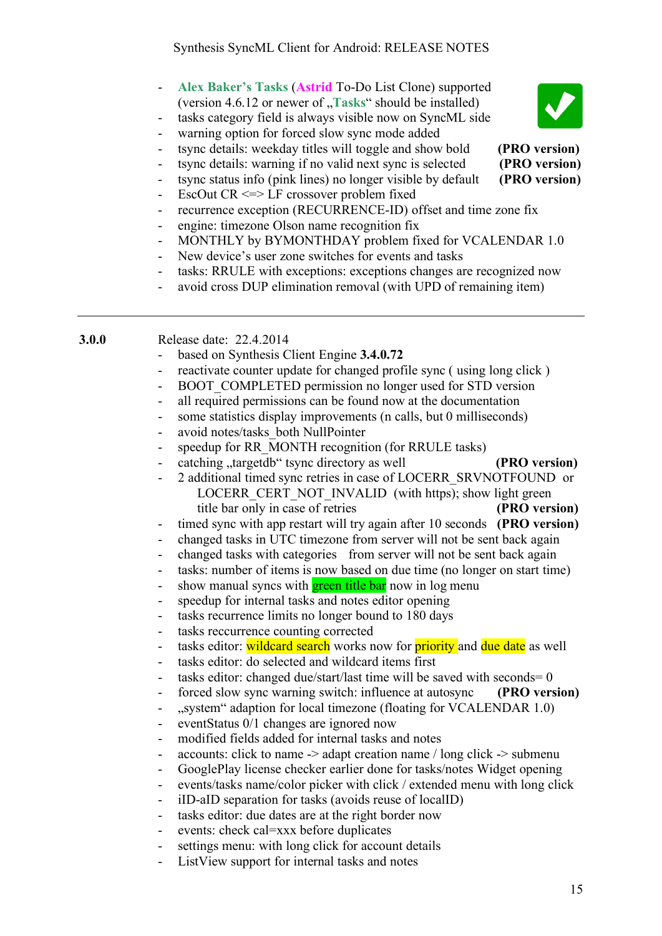- **Alex Baker's Tasks** (**Astrid** To-Do List Clone) supported (version 4.6.12 or newer of **, Tasks**" should be installed)
- tasks category field is always visible now on SyncML side
- warning option for forced slow sync mode added
- tsync details: weekday titles will toggle and show bold **(PRO version)**
- tsync details: warning if no valid next sync is selected **(PRO version)**
- tsync status info (pink lines) no longer visible by default **(PRO version)**
- EscOut CR <=> LF crossover problem fixed
- recurrence exception (RECURRENCE-ID) offset and time zone fix
- engine: timezone Olson name recognition fix
- MONTHLY by BYMONTHDAY problem fixed for VCALENDAR 1.0
- New device's user zone switches for events and tasks
- tasks: RRULE with exceptions: exceptions changes are recognized now
- avoid cross DUP elimination removal (with UPD of remaining item)

**3.0.0** Release date: 22.4.2014

- based on Synthesis Client Engine **3.4.0.72**
- reactivate counter update for changed profile sync (using long click)
- BOOT\_COMPLETED permission no longer used for STD version
- all required permissions can be found now at the documentation
- some statistics display improvements (n calls, but 0 milliseconds)
- avoid notes/tasks\_both NullPointer
- speedup for RR\_MONTH recognition (for RRULE tasks)
- catching "targetdb" tsync directory as well **(PRO version)**
- 2 additional timed sync retries in case of LOCERR\_SRVNOTFOUND or LOCERR\_CERT\_NOT\_INVALID (with https); show light green title bar only in case of retries **(PRO version)**
- timed sync with app restart will try again after 10 seconds **(PRO version)**
- changed tasks in UTC timezone from server will not be sent back again
- changed tasks with categories from server will not be sent back again
- tasks: number of items is now based on due time (no longer on start time)
- show manual syncs with **green title bar** now in log menu
- speedup for internal tasks and notes editor opening
- tasks recurrence limits no longer bound to 180 days
- tasks reccurrence counting corrected
- tasks editor: wildcard search works now for priority and due date as well
- tasks editor: do selected and wildcard items first
- tasks editor: changed due/start/last time will be saved with seconds = 0
- forced slow sync warning switch: influence at autosync **(PRO version)**
- ...system adaption for local timezone (floating for VCALENDAR 1.0)
- eventStatus 0/1 changes are ignored now
- modified fields added for internal tasks and notes
- accounts: click to name  $\rightarrow$  adapt creation name / long click  $\rightarrow$  submenu
- GooglePlay license checker earlier done for tasks/notes Widget opening
- events/tasks name/color picker with click / extended menu with long click
- iID-aID separation for tasks (avoids reuse of localID)
- tasks editor: due dates are at the right border now
- events: check cal=xxx before duplicates
- settings menu: with long click for account details
- ListView support for internal tasks and notes

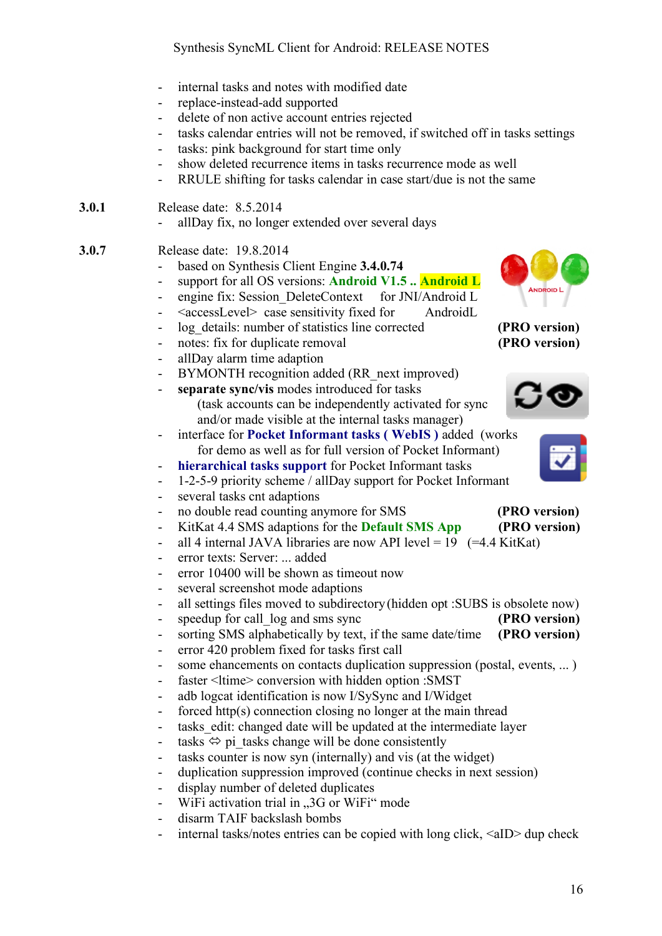- internal tasks and notes with modified date
- replace-instead-add supported
- delete of non active account entries rejected
- tasks calendar entries will not be removed, if switched off in tasks settings
- tasks: pink background for start time only
- show deleted recurrence items in tasks recurrence mode as well
- RRULE shifting for tasks calendar in case start/due is not the same

#### **3.0.1** Release date: 8.5.2014

- allDay fix, no longer extended over several days
- **3.0.7** Release date: 19.8.2014
	- based on Synthesis Client Engine **3.4.0.74**
	- support for all OS versions: **Android V1.5 .. Android L**
	- engine fix: Session DeleteContext for JNI/Android L
	- <accessLevel>case sensitivity fixed for AndroidL
	- log details: number of statistics line corrected **(PRO version)**
	- notes: fix for duplicate removal **(PRO version)**
	- allDay alarm time adaption
	- BYMONTH recognition added (RR next improved)
	- **separate sync/vis** modes introduced for tasks (task accounts can be independently activated for sync and/or made visible at the internal tasks manager)
	- interface for **Pocket Informant tasks ( WebIS )** added (works for demo as well as for full version of Pocket Informant)
	- hierarchical tasks support for Pocket Informant tasks
	- 1-2-5-9 priority scheme / allDay support for Pocket Informant
	- several tasks cnt adaptions
	- no double read counting anymore for SMS **(PRO version)**
	- KitKat 4.4 SMS adaptions for the **Default SMS App (PRO version)**
	- all 4 internal JAVA libraries are now API level =  $19$  (=4.4 KitKat)
	- error texts: Server: ... added
	- error 10400 will be shown as timeout now
	- several screenshot mode adaptions
	- all settings files moved to subdirectory (hidden opt : SUBS is obsolete now)
	- speedup for call  $log$  and sms sync **(PRO version)**
	- sorting SMS alphabetically by text, if the same date/time **(PRO version)**
	- error 420 problem fixed for tasks first call
	- some ehancements on contacts duplication suppression (postal, events, ...)
	- faster <ltime> conversion with hidden option :SMST
	- adb logcat identification is now I/SySync and I/Widget
	- forced http(s) connection closing no longer at the main thread
	- tasks edit: changed date will be updated at the intermediate layer
	- tasks  $\Leftrightarrow$  pi\_tasks change will be done consistently
	- tasks counter is now syn (internally) and vis (at the widget)
	- duplication suppression improved (continue checks in next session)
	- display number of deleted duplicates
	- WiFi activation trial in "3G or WiFi" mode
	- disarm TAIF backslash bombs
	- internal tasks/notes entries can be copied with long click, <aID> dup check





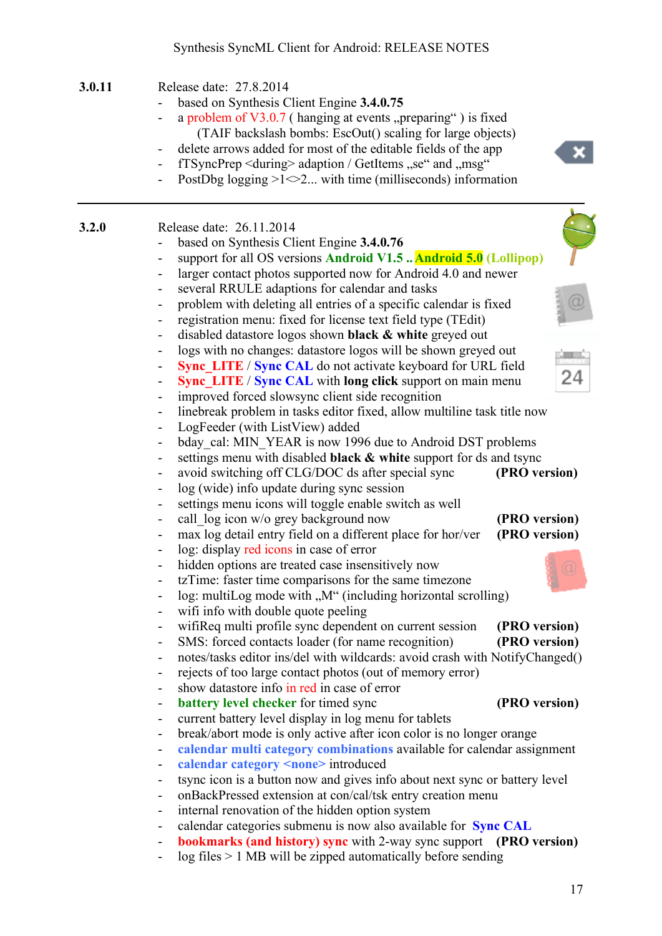#### Synthesis SyncML Client for Android: RELEASE NOTES

## **3.0.11** Release date: 27.8.2014

- based on Synthesis Client Engine **3.4.0.75**
- a problem of  $V3.0.7$  (hanging at events "preparing") is fixed (TAIF backslash bombs: EscOut() scaling for large objects)
- delete arrows added for most of the editable fields of the app
- fTSyncPrep < during > adaption / GetItems "se" and "msg"
- PostDbg logging  $>1 \le 2$ ... with time (milliseconds) information

| 3.2.0 | Release date: 26.11.2014 |  |
|-------|--------------------------|--|
|       |                          |  |

- based on Synthesis Client Engine 3.4.0.76
- support for all OS versions **Android V1.5 ..Android 5.0 (Lollipop)**
- larger contact photos supported now for Android 4.0 and newer
- several RRULE adaptions for calendar and tasks
- problem with deleting all entries of a specific calendar is fixed
- registration menu: fixed for license text field type (TEdit)
- disabled datastore logos shown **black & white** greyed out
- logs with no changes: datastore logos will be shown greyed out
- **Sync\_LITE** / **Sync CAL** do not activate keyboard for URL field
- **Sync\_LITE** / **Sync CAL** with **long click** support on main menu
- improved forced slowsync client side recognition
- linebreak problem in tasks editor fixed, allow multiline task title now
- LogFeeder (with ListView) added
- bday cal: MIN\_YEAR is now 1996 due to Android DST problems
- settings menu with disabled **black & white** support for ds and tsync
- avoid switching off CLG/DOC ds after special sync **(PRO version)**
- log (wide) info update during sync session
- settings menu icons will toggle enable switch as well
- call  $\log$  icon w/o grey background now **(PRO version)**
- max log detail entry field on a different place for hor/ver **(PRO version)**
- log: display red icons in case of error
- hidden options are treated case insensitively now
- tzTime: faster time comparisons for the same timezone
- $log:$  multiLog mode with  $.M''$  (including horizontal scrolling)
- wifi info with double quote peeling
- wifiReq multi profile sync dependent on current session **(PRO version)**
- SMS: forced contacts loader (for name recognition) **(PRO version)**
- notes/tasks editor ins/del with wildcards: avoid crash with NotifyChanged()
- rejects of too large contact photos (out of memory error)
- show datastore info in red in case of error
- **battery level checker** for timed sync **(PRO version)**
- current battery level display in log menu for tablets
- break/abort mode is only active after icon color is no longer orange
- **calendar multi category combinations** available for calendar assignment
- **calendar category <none>** introduced
- tsync icon is a button now and gives info about next sync or battery level
- onBackPressed extension at con/cal/tsk entry creation menu
- internal renovation of the hidden option system
- calendar categories submenu is now also available for **Sync CAL**
- **bookmarks (and history) sync** with 2-way sync support **(PRO version)**
- log files > 1 MB will be zipped automatically before sending



24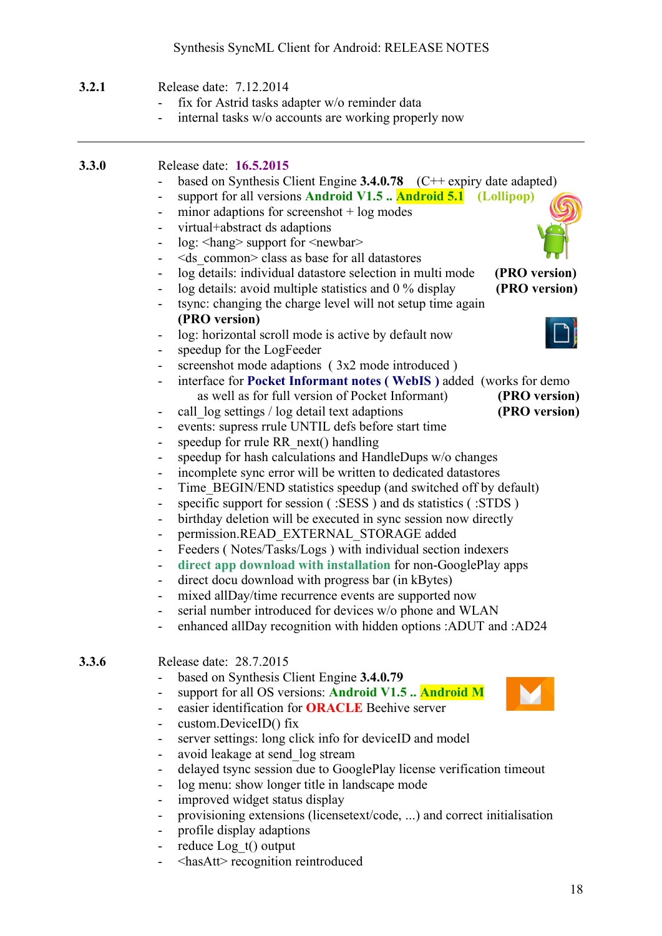## Synthesis SyncML Client for Android: RELEASE NOTES

| 3.2.1 | Release date: 7.12.2014<br>fix for Astrid tasks adapter w/o reminder data<br>internal tasks w/o accounts are working properly now                                                                                                                                                                                                                                                                                                                                                                                                                                                                                                                                                                                                                                                       |
|-------|-----------------------------------------------------------------------------------------------------------------------------------------------------------------------------------------------------------------------------------------------------------------------------------------------------------------------------------------------------------------------------------------------------------------------------------------------------------------------------------------------------------------------------------------------------------------------------------------------------------------------------------------------------------------------------------------------------------------------------------------------------------------------------------------|
|       |                                                                                                                                                                                                                                                                                                                                                                                                                                                                                                                                                                                                                                                                                                                                                                                         |
| 3.3.0 | Release date: 16.5.2015<br>based on Synthesis Client Engine $3.4.0.78$ (C++ expiry date adapted)<br>support for all versions Android V1.5  Android 5.1 (Lollipop)<br>-<br>minor adaptions for screenshot $+$ log modes<br>-<br>virtual+abstract ds adaptions<br>$\overline{\phantom{0}}$<br>log: <hang> support for <newbar><br/><math>\overline{\phantom{0}}</math><br/><ds common=""> class as base for all datastores<br/>-</ds></newbar></hang>                                                                                                                                                                                                                                                                                                                                     |
|       | log details: individual datastore selection in multi mode<br>(PRO version)<br>-<br>log details: avoid multiple statistics and 0 % display<br>(PRO version)<br>tsync: changing the charge level will not setup time again<br>(PRO version)                                                                                                                                                                                                                                                                                                                                                                                                                                                                                                                                               |
|       | log: horizontal scroll mode is active by default now<br>-<br>speedup for the LogFeeder<br>-<br>screenshot mode adaptions (3x2 mode introduced)<br>-<br>interface for Pocket Informant notes (WebIS) added (works for demo-<br>as well as for full version of Pocket Informant)<br>(PRO version)<br>call log settings / log detail text adaptions<br>(PRO version)<br>-<br>events: supress rrule UNTIL defs before start time<br>-<br>speedup for rrule RR next() handling<br>-<br>speedup for hash calculations and HandleDups w/o changes<br>-                                                                                                                                                                                                                                         |
|       | incomplete sync error will be written to dedicated datastores<br>-<br>Time BEGIN/END statistics speedup (and switched off by default)<br>$\overline{\phantom{0}}$<br>specific support for session (:SESS) and ds statistics (:STDS)<br>-<br>birthday deletion will be executed in sync session now directly<br>-<br>permission.READ EXTERNAL STORAGE added<br>$\overline{\phantom{0}}$<br>Feeders (Notes/Tasks/Logs) with individual section indexers<br>-<br>direct app download with installation for non-GooglePlay apps<br>direct docu download with progress bar (in kBytes)<br>mixed allDay/time recurrence events are supported now<br>-<br>serial number introduced for devices w/o phone and WLAN<br>-<br>enhanced allDay recognition with hidden options :ADUT and :AD24<br>- |
| 3.3.6 | Release date: 28.7.2015<br>based on Synthesis Client Engine 3.4.0.79<br>support for all OS versions: Android V1.5  Android M<br>-<br>easier identification for <b>ORACLE</b> Beehive server<br>custom.DeviceID() fix<br>-<br>server settings: long click info for deviceID and model<br>-<br>avoid leakage at send log stream<br>-<br>delayed tsync session due to GooglePlay license verification timeout<br>-<br>log menu: show longer title in landscape mode<br>-<br>improved widget status display<br>Ξ.<br>provisioning extensions (licensetext/code, ) and correct initialisation<br>profile display adaptions<br>-<br>reduce Log_t() output<br>-                                                                                                                                |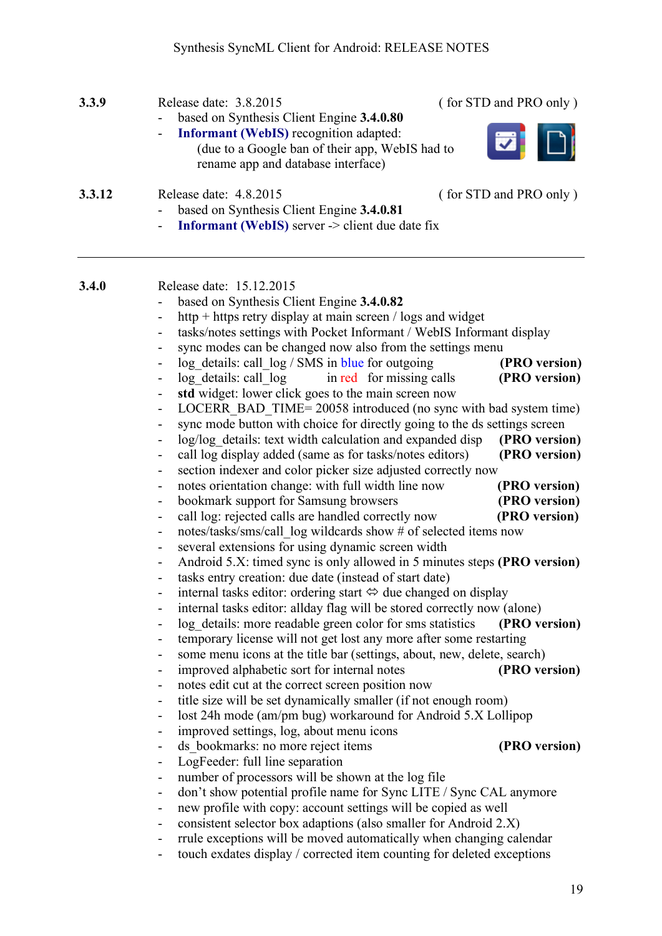| 3.3.9  | Release date: 3.8.2015<br>(for STD and PRO only)<br>based on Synthesis Client Engine 3.4.0.80<br><b>Informant (WebIS)</b> recognition adapted:<br>$\overline{\phantom{0}}$<br>(due to a Google ban of their app, WebIS had to                                                                                                                                                                                                                                                                                                   |
|--------|---------------------------------------------------------------------------------------------------------------------------------------------------------------------------------------------------------------------------------------------------------------------------------------------------------------------------------------------------------------------------------------------------------------------------------------------------------------------------------------------------------------------------------|
| 3.3.12 | rename app and database interface)<br>Release date: 4.8.2015<br>(for STD and PRO only)<br>based on Synthesis Client Engine 3.4.0.81<br><b>Informant (WebIS)</b> server $\geq$ client due date fix                                                                                                                                                                                                                                                                                                                               |
| 3.4.0  | Release date: 15.12.2015<br>based on Synthesis Client Engine 3.4.0.82<br>http + https retry display at main screen / logs and widget<br>tasks/notes settings with Pocket Informant / WebIS Informant display<br>$\qquad \qquad \blacksquare$<br>sync modes can be changed now also from the settings menu<br>$\qquad \qquad \blacksquare$<br>log details: call log / SMS in blue for outgoing<br>(PRO version)<br>log details: call log<br>in red for missing calls<br>(PRO version)                                            |
|        | std widget: lower click goes to the main screen now<br>$\qquad \qquad \blacksquare$<br>LOCERR_BAD_TIME= 20058 introduced (no sync with bad system time)<br>$\overline{\phantom{a}}$<br>sync mode button with choice for directly going to the ds settings screen<br>log/log details: text width calculation and expanded disp<br>(PRO version)<br>$\blacksquare$<br>call log display added (same as for tasks/notes editors)<br>(PRO version)<br>$\blacksquare$<br>section indexer and color picker size adjusted correctly now |
|        | notes orientation change: with full width line now<br>(PRO version)<br>$\qquad \qquad \blacksquare$<br>bookmark support for Samsung browsers<br>(PRO version)<br>$\qquad \qquad \blacksquare$<br>call log: rejected calls are handled correctly now<br>(PRO version)<br>$\blacksquare$<br>notes/tasks/sms/call log wildcards show # of selected items now<br>$\qquad \qquad \blacksquare$<br>several extensions for using dynamic screen width<br>$\blacksquare$                                                                |
|        | Android 5.X: timed sync is only allowed in 5 minutes steps (PRO version)<br>$\qquad \qquad \blacksquare$<br>tasks entry creation: due date (instead of start date)<br>internal tasks editor: ordering start $\Leftrightarrow$ due changed on display<br>internal tasks editor: allday flag will be stored correctly now (alone)<br>log_details: more readable green color for sms statistics<br>(PRO version)<br>temporary license will not get lost any more after some restarting<br>$\qquad \qquad \blacksquare$             |
|        | some menu icons at the title bar (settings, about, new, delete, search)<br>$\qquad \qquad \blacksquare$<br>improved alphabetic sort for internal notes<br>(PRO version)<br>$\blacksquare$<br>notes edit cut at the correct screen position now<br>$\blacksquare$<br>title size will be set dynamically smaller (if not enough room)<br>$\overline{\phantom{a}}$<br>lost 24h mode (am/pm bug) workaround for Android 5.X Lollipop<br>$\overline{\phantom{a}}$                                                                    |
|        | improved settings, log, about menu icons<br>$\overline{\phantom{0}}$<br>ds bookmarks: no more reject items<br>(PRO version)<br>$\overline{\phantom{0}}$<br>LogFeeder: full line separation<br>$\overline{\phantom{a}}$<br>number of processors will be shown at the log file<br>$\overline{\phantom{a}}$<br>don't show potential profile name for Sync LITE / Sync CAL anymore<br>$\qquad \qquad -$                                                                                                                             |
|        | new profile with copy: account settings will be copied as well<br>۰<br>consistent selector box adaptions (also smaller for Android 2.X)<br>$\qquad \qquad \blacksquare$<br>rrule exceptions will be moved automatically when changing calendar<br>$\blacksquare$<br>touch exdates display / corrected item counting for deleted exceptions<br>-                                                                                                                                                                                 |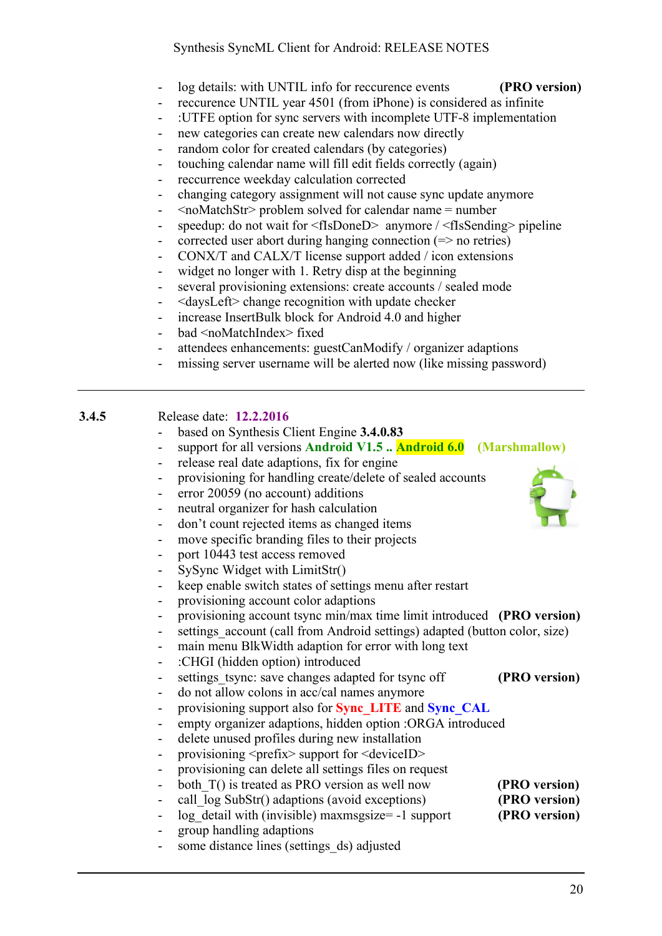- log details: with UNTIL info for reccurence events **(PRO version)**
- reccurence UNTIL year 4501 (from iPhone) is considered as infinite
- :UTFE option for sync servers with incomplete UTF-8 implementation
- new categories can create new calendars now directly
- random color for created calendars (by categories)
- touching calendar name will fill edit fields correctly (again)
- reccurrence weekday calculation corrected
- changing category assignment will not cause sync update anymore
- <noMatchStr> problem solved for calendar name = number
- speedup: do not wait for <fIsDoneD> anymore / <fIsSending> pipeline
- corrected user abort during hanging connection  $(=>$  no retries)
- CONX/T and CALX/T license support added / icon extensions
- widget no longer with 1. Retry disp at the beginning
- several provisioning extensions: create accounts / sealed mode
- <daysLeft> change recognition with update checker
- increase InsertBulk block for Android 4.0 and higher
- bad <noMatchIndex> fixed
- attendees enhancements: guestCanModify / organizer adaptions
- missing server username will be alerted now (like missing password)

| Release date: 12.2.2016 | 3.4.5 |  |  |
|-------------------------|-------|--|--|
|-------------------------|-------|--|--|

- based on Synthesis Client Engine **3.4.0.83**
- support for all versions **Android V1.5 .. Android 6.0 (Marshmallow)**
- release real date adaptions, fix for engine
- provisioning for handling create/delete of sealed accounts
- error 20059 (no account) additions
- neutral organizer for hash calculation
- don't count rejected items as changed items
- move specific branding files to their projects
- port 10443 test access removed
- SySync Widget with LimitStr()
- keep enable switch states of settings menu after restart
- provisioning account color adaptions
- provisioning account tsync min/max time limit introduced **(PRO version)**
- settings account (call from Android settings) adapted (button color, size)
- main menu BlkWidth adaption for error with long text
- :CHGI (hidden option) introduced
- settings tsync: save changes adapted for tsync off **(PRO version)**
- do not allow colons in acc/cal names anymore
- provisioning support also for **Sync\_LITE** and **Sync\_CAL**
- empty organizer adaptions, hidden option :ORGA introduced
- delete unused profiles during new installation
- provisioning <prefix> support for <deviceID>
- provisioning can delete all settings files on request
- both T() is treated as PRO version as well now **(PRO version)**
- call  $\log \text{SubStr}()$  adaptions (avoid exceptions) **(PRO version)**
- log detail with (invisible) maxmsgsize= -1 support **(PRO version)**
- group handling adaptions
- some distance lines (settings ds) adjusted

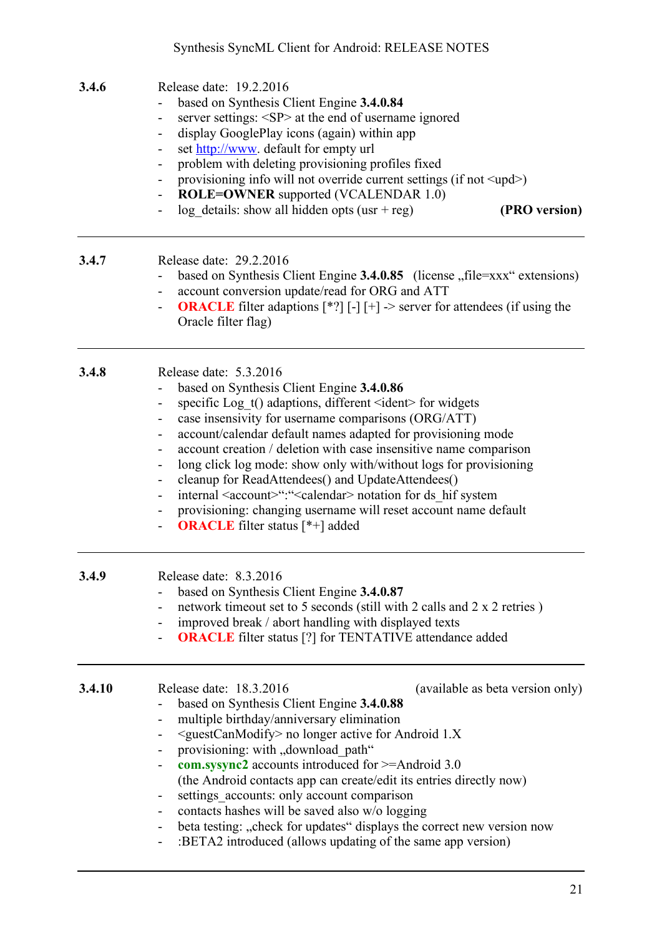| 3.4.6  | Release date: 19.2.2016<br>based on Synthesis Client Engine 3.4.0.84<br>server settings: <sp> at the end of username ignored<br/>display GooglePlay icons (again) within app<br/>Ξ.<br/>set http://www. default for empty url<br/>Ξ.<br/>problem with deleting provisioning profiles fixed<br/>provisioning info will not override current settings (if not <upd>)<br/>۰<br/><b>ROLE=OWNER</b> supported (VCALENDAR 1.0)<br/><math display="inline">\blacksquare</math><br/><math>log</math> details: show all hidden opts (usr + reg)<br/>(PRO version)<br/><math display="inline">\overline{\phantom{a}}</math></upd></sp>                                                                                                                                   |
|--------|----------------------------------------------------------------------------------------------------------------------------------------------------------------------------------------------------------------------------------------------------------------------------------------------------------------------------------------------------------------------------------------------------------------------------------------------------------------------------------------------------------------------------------------------------------------------------------------------------------------------------------------------------------------------------------------------------------------------------------------------------------------|
| 3.4.7  | Release date: 29.2.2016<br>based on Synthesis Client Engine 3.4.0.85 (license "file=xxx" extensions)<br>account conversion update/read for ORG and ATT<br><b>ORACLE</b> filter adaptions $[*^{\circ}]$ $[-]$ $[+]$ -> server for attendees (if using the<br>$\overline{\phantom{0}}$<br>Oracle filter flag)                                                                                                                                                                                                                                                                                                                                                                                                                                                    |
| 3.4.8  | Release date: 5.3.2016<br>based on Synthesis Client Engine 3.4.0.86<br>specific Log $t()$ adaptions, different $\le$ ident $>$ for widgets<br>$\overline{\phantom{0}}$<br>case insensivity for username comparisons (ORG/ATT)<br>Ξ.<br>account/calendar default names adapted for provisioning mode<br>Ξ.<br>account creation / deletion with case insensitive name comparison<br>long click log mode: show only with/without logs for provisioning<br>cleanup for ReadAttendees() and UpdateAttendees()<br>Ξ.<br>internal <account>":"<calendar> notation for ds hif system<br/><math>\overline{\phantom{0}}</math><br/>provisioning: changing username will reset account name default<br/><b>ORACLE</b> filter status [*+] added<br/>-</calendar></account> |
| 3.4.9  | Release date: 8.3.2016<br>based on Synthesis Client Engine 3.4.0.87<br>network timeout set to 5 seconds (still with 2 calls and 2 x 2 retries)<br>-<br>improved break / abort handling with displayed texts<br>۰<br><b>ORACLE</b> filter status [?] for TENTATIVE attendance added<br>-                                                                                                                                                                                                                                                                                                                                                                                                                                                                        |
| 3.4.10 | Release date: 18.3.2016<br>(available as beta version only)<br>based on Synthesis Client Engine 3.4.0.88<br>multiple birthday/anniversary elimination<br>-<br><guestcanmodify> no longer active for Android 1.X<br/>-<br/>provisioning: with "download path"<br/><b>com.sysync2</b> accounts introduced for <math>\geq</math>=Android 3.0<br/>(the Android contacts app can create/edit its entries directly now)<br/>settings accounts: only account comparison<br/>-<br/>contacts hashes will be saved also w/o logging<br/>beta testing: "check for updates" displays the correct new version now<br/>-<br/>:BETA2 introduced (allows updating of the same app version)<br/>Ξ.</guestcanmodify>                                                             |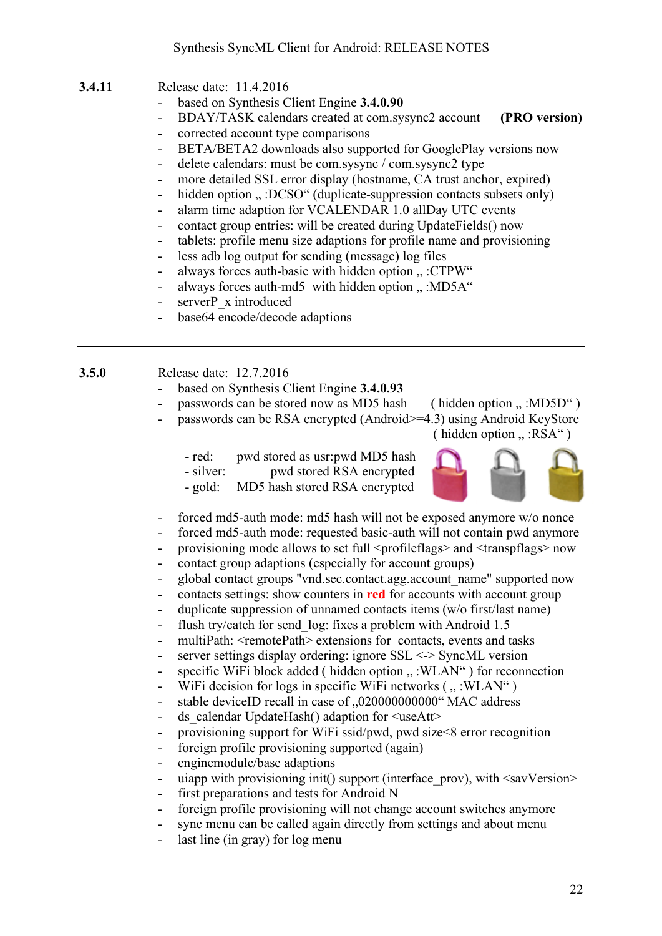- **3.4.11** Release date: 11.4.2016
	- based on Synthesis Client Engine **3.4.0.90**
	- BDAY/TASK calendars created at com.sysync2 account **(PRO version)**
	- corrected account type comparisons
	- BETA/BETA2 downloads also supported for GooglePlay versions now
	- delete calendars: must be com.sysync / com.sysync2 type
	- more detailed SSL error display (hostname, CA trust anchor, expired)
	- hidden option ... :DCSO" (duplicate-suppression contacts subsets only)
	- alarm time adaption for VCALENDAR 1.0 allDay UTC events
	- contact group entries: will be created during UpdateFields() now
	- tablets: profile menu size adaptions for profile name and provisioning
	- less adb log output for sending (message) log files
	- always forces auth-basic with hidden option  $\ldots$  :CTPW"
	- always forces auth-md5 with hidden option  $\ldots$  :MD5A $\ldots$
	- serverP x introduced
	- base64 encode/decode adaptions

**3.5.0** Release date: 12.7.2016

- based on Synthesis Client Engine **3.4.0.93**
- passwords can be stored now as MD5 hash (hidden option  $\ldots$  :MD5D $\lq$ )
- passwords can be RSA encrypted (Android>=4.3) using Android KeyStore

( hidden option  $\ldots$  :RSA")

- red: pwd stored as usr:pwd MD5 hash - silver: pwd stored RSA encrypted
- gold: MD5 hash stored RSA encrypted



- forced md5-auth mode: md5 hash will not be exposed anymore w/o nonce
- forced md5-auth mode: requested basic-auth will not contain pwd anymore
- provisioning mode allows to set full <profileflags> and <transpflags> now
- contact group adaptions (especially for account groups)
- global contact groups "vnd sec.contact.agg.account\_name" supported now
- contacts settings: show counters in **red** for accounts with account group
- duplicate suppression of unnamed contacts items (w/o first/last name)
- flush try/catch for send log: fixes a problem with Android 1.5
- multiPath:  $\le$ remotePath> extensions for contacts, events and tasks
- server settings display ordering: ignore SSL <-> SyncML version
- specific WiFi block added ( hidden option ...: WLAN") for reconnection
- WiFi decision for logs in specific WiFi networks  $($  " :WLAN"  $)$
- stable deviceID recall in case of ..020000000000" MAC address
- ds\_calendar UpdateHash() adaption for  $\leq$ useAtt $>$
- provisioning support for WiFi ssid/pwd, pwd size<8 error recognition
- foreign profile provisioning supported (again)
- enginemodule/base adaptions
- uiapp with provisioning init() support (interface prov), with  $\langle$ savVersion $\rangle$
- first preparations and tests for Android N
- foreign profile provisioning will not change account switches anymore
- sync menu can be called again directly from settings and about menu
- last line (in gray) for log menu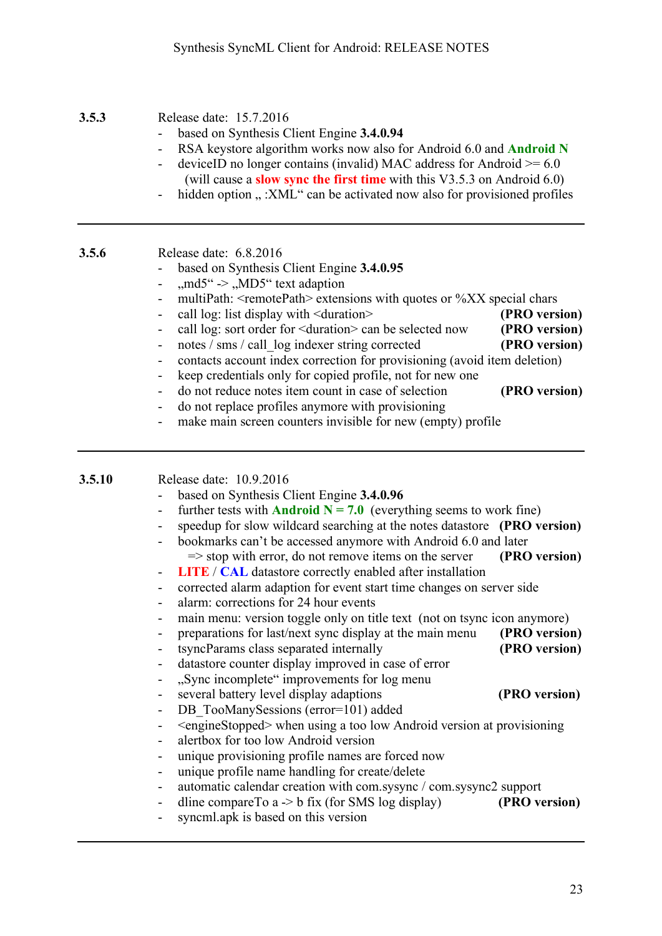#### **3.5.3** Release date: 15.7.2016

- based on Synthesis Client Engine **3.4.0.94**
- RSA keystore algorithm works now also for Android 6.0 and **Android N**
- deviceID no longer contains (invalid) MAC address for Android  $> = 6.0$ (will cause a **slow sync the first time** with this V3.5.3 on Android 6.0)
- hidden option " :XML" can be activated now also for provisioned profiles

**3.5.6** Release date: 6.8.2016

- based on Synthesis Client Engine **3.4.0.95**
- $\mu$ md5" ->  $\mu$ MD5" text adaption
- multiPath:  $\le$ remotePath> extensions with quotes or %XX special chars
- call log: list display with <duration> **(PRO version)**
- call log: sort order for <duration> can be selected now **(PRO version)**
- notes / sms / call log indexer string corrected **(PRO version)**
- contacts account index correction for provisioning (avoid item deletion)
- keep credentials only for copied profile, not for new one
- do not reduce notes item count in case of selection **(PRO version)**
- do not replace profiles anymore with provisioning
- make main screen counters invisible for new (empty) profile

#### **3.5.10** Release date: 10.9.2016

- based on Synthesis Client Engine **3.4.0.96**
- further tests with **Android N** =  $7.0$  (everything seems to work fine)
- speedup for slow wildcard searching at the notes datastore **(PRO version)**
- bookmarks can't be accessed anymore with Android 6.0 and later => stop with error, do not remove items on the server **(PRO version)**
- **LITE** / **CAL** datastore correctly enabled after installation
- corrected alarm adaption for event start time changes on server side
- alarm: corrections for 24 hour events
- main menu: version toggle only on title text (not on tsync icon anymore)
- preparations for last/next sync display at the main menu **(PRO version)**
	- tsyncParams class separated internally **(PRO version)**
- datastore counter display improved in case of error
- ...Sync incomplete" improvements for log menu
- several battery level display adaptions **(PRO version)**
- DB\_TooManySessions (error=101) added
- <engineStopped> when using a too low Android version at provisioning
- alertbox for too low Android version
- unique provisioning profile names are forced now
- unique profile name handling for create/delete
- automatic calendar creation with com.sysync / com.sysync2 support
- dline compareTo a -> b fix (for SMS log display) **(PRO version)**
- syncml.apk is based on this version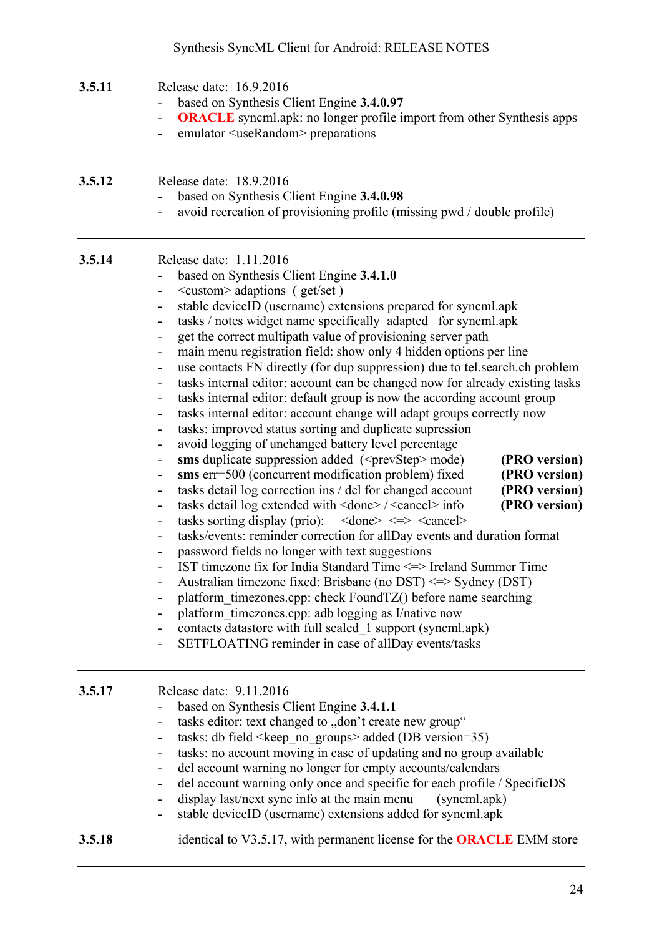## Synthesis SyncML Client for Android: RELEASE NOTES

| 3.5.11 | Release date: 16.9.2016<br>based on Synthesis Client Engine 3.4.0.97<br><b>ORACLE</b> syncml.apk: no longer profile import from other Synthesis apps<br>$\overline{\phantom{0}}$<br>emulator <userandom> preparations</userandom>                                                                                                                                                                                                                                                                                                                                                                                                                                                                                                                                                                                                                                                                                                                                                                                                                                                                                                                                                                                                                                                                                                                                                                                                                                                                                                                                                                                                                                                                                                                                                                                                                                                                                                                                                                                                                                                                                                                                                                                                                                                                                                                      |  |  |
|--------|--------------------------------------------------------------------------------------------------------------------------------------------------------------------------------------------------------------------------------------------------------------------------------------------------------------------------------------------------------------------------------------------------------------------------------------------------------------------------------------------------------------------------------------------------------------------------------------------------------------------------------------------------------------------------------------------------------------------------------------------------------------------------------------------------------------------------------------------------------------------------------------------------------------------------------------------------------------------------------------------------------------------------------------------------------------------------------------------------------------------------------------------------------------------------------------------------------------------------------------------------------------------------------------------------------------------------------------------------------------------------------------------------------------------------------------------------------------------------------------------------------------------------------------------------------------------------------------------------------------------------------------------------------------------------------------------------------------------------------------------------------------------------------------------------------------------------------------------------------------------------------------------------------------------------------------------------------------------------------------------------------------------------------------------------------------------------------------------------------------------------------------------------------------------------------------------------------------------------------------------------------------------------------------------------------------------------------------------------------|--|--|
| 3.5.12 | Release date: 18.9.2016<br>based on Synthesis Client Engine 3.4.0.98<br>avoid recreation of provisioning profile (missing pwd / double profile)<br>$\overline{\phantom{a}}$                                                                                                                                                                                                                                                                                                                                                                                                                                                                                                                                                                                                                                                                                                                                                                                                                                                                                                                                                                                                                                                                                                                                                                                                                                                                                                                                                                                                                                                                                                                                                                                                                                                                                                                                                                                                                                                                                                                                                                                                                                                                                                                                                                            |  |  |
| 3.5.14 | Release date: 1.11.2016<br>based on Synthesis Client Engine 3.4.1.0<br>$\leq$ custom $\geq$ adaptions (get/set)<br>-<br>stable deviceID (username) extensions prepared for syncml.apk<br>tasks / notes widget name specifically adapted for syncml.apk<br>$\overline{\phantom{a}}$<br>get the correct multipath value of provisioning server path<br>$\qquad \qquad \blacksquare$<br>main menu registration field: show only 4 hidden options per line<br>use contacts FN directly (for dup suppression) due to tel.search.ch problem<br>$\overline{\phantom{0}}$<br>tasks internal editor: account can be changed now for already existing tasks<br>-<br>tasks internal editor: default group is now the according account group<br>$\qquad \qquad \blacksquare$<br>tasks internal editor: account change will adapt groups correctly now<br>$\qquad \qquad \blacksquare$<br>tasks: improved status sorting and duplicate supression<br>$\qquad \qquad \blacksquare$<br>avoid logging of unchanged battery level percentage<br>$\qquad \qquad \blacksquare$<br>sms duplicate suppression added ( <prevstep> mode)<br/>(PRO version)<br/>sms err=500 (concurrent modification problem) fixed<br/>(PRO version)<br/>-<br/>tasks detail log correction ins / del for changed account<br/>(PRO version)<br/><math display="block">\qquad \qquad \blacksquare</math><br/>(PRO version)<br/>tasks detail log extended with <done>/<cancel> info<br/><math display="block">\qquad \qquad \blacksquare</math><br/>tasks sorting display (prio): <math>\langle</math> done&gt; <math>\langle</math> =&gt; <math>\langle</math> cancel&gt;<br/>-<br/>tasks/events: reminder correction for allDay events and duration format<br/>-<br/>password fields no longer with text suggestions<br/>IST timezone fix for India Standard Time &lt;=&gt; Ireland Summer Time<br/>Australian timezone fixed: Brisbane (no DST) <math>\le</math> &gt; Sydney (DST)<br/>platform timezones.cpp: check FoundTZ() before name searching<br/><math display="block">\qquad \qquad \blacksquare</math><br/>platform timezones.cpp: adb logging as I/native now<br/>contacts datastore with full sealed 1 support (syncml.apk)<br/>-<br/>SETFLOATING reminder in case of allDay events/tasks<br/><math display="block">\qquad \qquad \blacksquare</math></cancel></done></prevstep> |  |  |
| 3.5.17 | Release date: 9.11.2016<br>based on Synthesis Client Engine 3.4.1.1<br>tasks editor: text changed to "don't create new group"<br>$\qquad \qquad \blacksquare$<br>tasks: db field < keep no groups > added (DB version=35)<br>$\overline{\phantom{0}}$<br>tasks: no account moving in case of updating and no group available<br>del account warning no longer for empty accounts/calendars<br>$\overline{\phantom{0}}$<br>del account warning only once and specific for each profile / SpecificDS<br>$\qquad \qquad \blacksquare$<br>display last/next sync info at the main menu<br>(syncml.apk)<br>۰<br>stable deviceID (username) extensions added for syncml.apk<br>$\qquad \qquad \blacksquare$                                                                                                                                                                                                                                                                                                                                                                                                                                                                                                                                                                                                                                                                                                                                                                                                                                                                                                                                                                                                                                                                                                                                                                                                                                                                                                                                                                                                                                                                                                                                                                                                                                                  |  |  |
| 3.5.18 | identical to V3.5.17, with permanent license for the <b>ORACLE</b> EMM store                                                                                                                                                                                                                                                                                                                                                                                                                                                                                                                                                                                                                                                                                                                                                                                                                                                                                                                                                                                                                                                                                                                                                                                                                                                                                                                                                                                                                                                                                                                                                                                                                                                                                                                                                                                                                                                                                                                                                                                                                                                                                                                                                                                                                                                                           |  |  |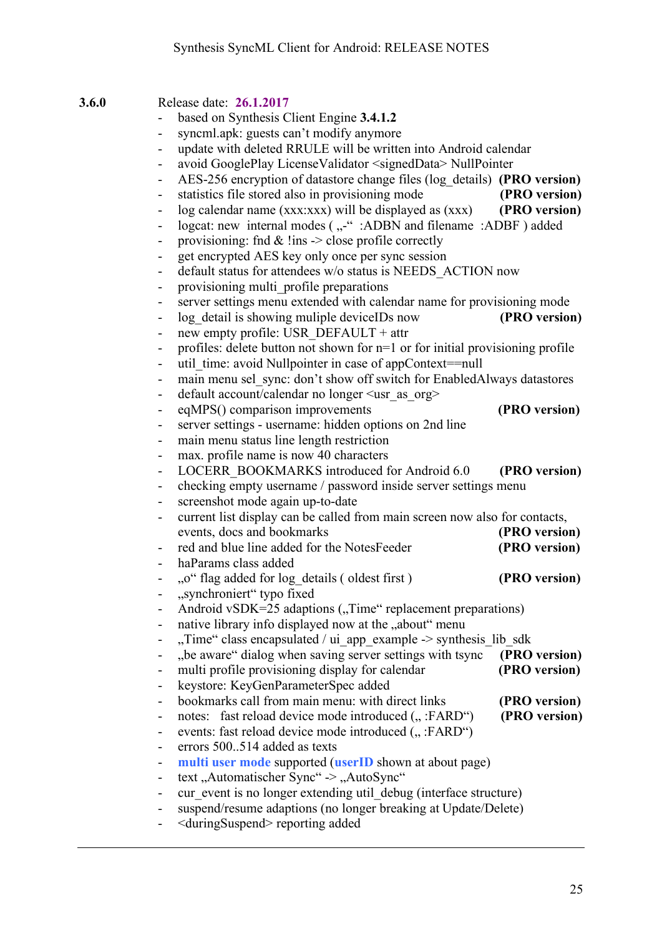**3.6.0** Release date: **26.1.2017**

|                              | based on Synthesis Client Engine 3.4.1.2                                      |               |
|------------------------------|-------------------------------------------------------------------------------|---------------|
| $\overline{\phantom{0}}$     | syncml.apk: guests can't modify anymore                                       |               |
| $\overline{\phantom{0}}$     | update with deleted RRULE will be written into Android calendar               |               |
| $\overline{\phantom{a}}$     | avoid GooglePlay LicenseValidator <signeddata> NullPointer</signeddata>       |               |
| $\overline{\phantom{a}}$     | AES-256 encryption of datastore change files (log details) (PRO version)      |               |
| $\overline{\phantom{0}}$     | statistics file stored also in provisioning mode                              | (PRO version) |
| $\blacksquare$               | log calendar name (xxx:xxx) will be displayed as (xxx)                        | (PRO version) |
|                              | logcat: new internal modes ("-": ADBN and filename: ADBF) added               |               |
| -                            | provisioning: fnd $\&$ !ins $\&$ close profile correctly                      |               |
| $\overline{\phantom{0}}$     | get encrypted AES key only once per sync session                              |               |
| $\overline{\phantom{0}}$     | default status for attendees w/o status is NEEDS ACTION now                   |               |
| $\overline{\phantom{0}}$     | provisioning multi profile preparations                                       |               |
| $\overline{\phantom{0}}$     | server settings menu extended with calendar name for provisioning mode        |               |
| $\overline{\phantom{a}}$     | log detail is showing muliple deviceIDs now                                   | (PRO version) |
| $\qquad \qquad \blacksquare$ | new empty profile: USR DEFAULT + attr                                         |               |
| $\overline{\phantom{0}}$     | profiles: delete button not shown for n=1 or for initial provisioning profile |               |
| $\blacksquare$               | util time: avoid Nullpointer in case of appContext==null                      |               |
|                              | main menu sel sync: don't show off switch for EnabledAlways datastores        |               |
| $\qquad \qquad \blacksquare$ | default account/calendar no longer <usr as="" org=""></usr>                   |               |
| $\qquad \qquad \blacksquare$ | eqMPS() comparison improvements                                               | (PRO version) |
| $\qquad \qquad \blacksquare$ | server settings - username: hidden options on 2nd line                        |               |
| $\overline{\phantom{0}}$     | main menu status line length restriction                                      |               |
| $\blacksquare$               | max. profile name is now 40 characters                                        |               |
| $\overline{\phantom{a}}$     | LOCERR BOOKMARKS introduced for Android 6.0                                   | (PRO version) |
| $\qquad \qquad -$            | checking empty username / password inside server settings menu                |               |
| $\overline{\phantom{0}}$     | screenshot mode again up-to-date                                              |               |
| ۰                            | current list display can be called from main screen now also for contacts,    |               |
|                              | events, docs and bookmarks                                                    | (PRO version) |
|                              | red and blue line added for the NotesFeeder                                   | (PRO version) |
| $\overline{\phantom{a}}$     | haParams class added                                                          |               |
|                              | "o" flag added for log details (oldest first)                                 | (PRO version) |
|                              | "synchroniert" typo fixed                                                     |               |
|                              | Android vSDK=25 adaptions ("Time" replacement preparations)                   |               |
| -                            | native library info displayed now at the "about" menu                         |               |
|                              | "Time" class encapsulated / ui_app_example -> synthesis_lib_sdk               |               |
| $\qquad \qquad \blacksquare$ | "be aware" dialog when saving server settings with tsync                      | (PRO version) |
| $\overline{\phantom{0}}$     | multi profile provisioning display for calendar                               | (PRO version) |
|                              | keystore: KeyGenParameterSpec added                                           |               |
| $\qquad \qquad \blacksquare$ | bookmarks call from main menu: with direct links                              | (PRO version) |
| $\qquad \qquad \blacksquare$ | notes: fast reload device mode introduced (":FARD")                           | (PRO version) |
|                              | events: fast reload device mode introduced (":FARD")                          |               |
| $\qquad \qquad \blacksquare$ | errors 500514 added as texts                                                  |               |
| $\overline{\phantom{a}}$     | multi user mode supported (userID shown at about page)                        |               |
| ۰                            | text, Automatischer Sync" -> "AutoSync"                                       |               |
| $\qquad \qquad \blacksquare$ | cur event is no longer extending util_debug (interface structure)             |               |
| -                            | suspend/resume adaptions (no longer breaking at Update/Delete)                |               |

- <duringSuspend> reporting added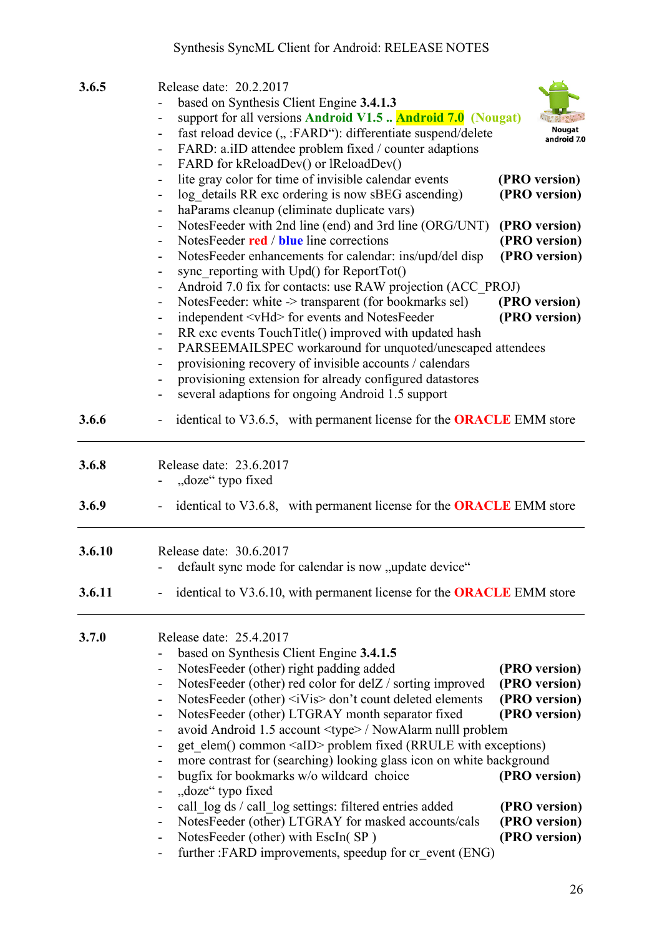## Synthesis SyncML Client for Android: RELEASE NOTES

| 3.6.5  | Release date: 20.2.2017<br>based on Synthesis Client Engine 3.4.1.3<br>support for all versions Android V1.5  Android 7.0 (Nougat)<br>$\qquad \qquad \blacksquare$<br>fast reload device (":FARD"): differentiate suspend/delete<br>FARD: a.iID attendee problem fixed / counter adaptions<br>$\overline{\phantom{0}}$                                                                                                                                                                                                                                                                                                                                                                                                                                                                                                                                                                                          | android 7.0                                                                                        |
|--------|-----------------------------------------------------------------------------------------------------------------------------------------------------------------------------------------------------------------------------------------------------------------------------------------------------------------------------------------------------------------------------------------------------------------------------------------------------------------------------------------------------------------------------------------------------------------------------------------------------------------------------------------------------------------------------------------------------------------------------------------------------------------------------------------------------------------------------------------------------------------------------------------------------------------|----------------------------------------------------------------------------------------------------|
|        | FARD for kReloadDev() or lReloadDev()<br>۰<br>lite gray color for time of invisible calendar events<br>$\overline{\phantom{0}}$<br>log details RR exc ordering is now sBEG ascending)<br>haParams cleanup (eliminate duplicate vars)<br>$\overline{\phantom{0}}$                                                                                                                                                                                                                                                                                                                                                                                                                                                                                                                                                                                                                                                | (PRO version)<br>(PRO version)                                                                     |
|        | NotesFeeder with 2nd line (end) and 3rd line (ORG/UNT)<br>۰<br>NotesFeeder red / blue line corrections<br>$\overline{\phantom{a}}$<br>NotesFeeder enhancements for calendar: ins/upd/del disp<br>$\overline{\phantom{0}}$<br>sync reporting with $Upd()$ for ReportTot $()$<br>۰<br>Android 7.0 fix for contacts: use RAW projection (ACC PROJ)                                                                                                                                                                                                                                                                                                                                                                                                                                                                                                                                                                 | (PRO version)<br>(PRO version)<br>(PRO version)                                                    |
|        | NotesFeeder: white -> transparent (for bookmarks sel)<br>$\overline{\phantom{0}}$<br>independent <vhd> for events and NotesFeeder<br/><math display="block">\qquad \qquad \blacksquare</math><br/>RR exc events TouchTitle() improved with updated hash<br/><math display="block">\qquad \qquad \blacksquare</math><br/>PARSEEMAILSPEC workaround for unquoted/unescaped attendees<br/><math display="inline">\overline{\phantom{a}}</math></vhd>                                                                                                                                                                                                                                                                                                                                                                                                                                                               | (PRO version)<br>(PRO version)                                                                     |
|        | provisioning recovery of invisible accounts / calendars<br>-<br>provisioning extension for already configured datastores<br>-<br>several adaptions for ongoing Android 1.5 support                                                                                                                                                                                                                                                                                                                                                                                                                                                                                                                                                                                                                                                                                                                              |                                                                                                    |
| 3.6.6  | identical to V3.6.5, with permanent license for the <b>ORACLE</b> EMM store<br>۰                                                                                                                                                                                                                                                                                                                                                                                                                                                                                                                                                                                                                                                                                                                                                                                                                                |                                                                                                    |
| 3.6.8  | Release date: 23.6.2017<br>"doze" typo fixed                                                                                                                                                                                                                                                                                                                                                                                                                                                                                                                                                                                                                                                                                                                                                                                                                                                                    |                                                                                                    |
| 3.6.9  | identical to V3.6.8, with permanent license for the <b>ORACLE</b> EMM store                                                                                                                                                                                                                                                                                                                                                                                                                                                                                                                                                                                                                                                                                                                                                                                                                                     |                                                                                                    |
| 3.6.10 | Release date: 30.6.2017<br>default sync mode for calendar is now "update device"                                                                                                                                                                                                                                                                                                                                                                                                                                                                                                                                                                                                                                                                                                                                                                                                                                |                                                                                                    |
| 3.6.11 | identical to V3.6.10, with permanent license for the <b>ORACLE</b> EMM store                                                                                                                                                                                                                                                                                                                                                                                                                                                                                                                                                                                                                                                                                                                                                                                                                                    |                                                                                                    |
| 3.7.0  | Release date: 25.4.2017<br>based on Synthesis Client Engine 3.4.1.5<br>NotesFeeder (other) right padding added<br>$\qquad \qquad \blacksquare$<br>NotesFeeder (other) red color for delZ / sorting improved<br>$\overline{\phantom{0}}$<br>NotesFeeder (other) <ivis> don't count deleted elements<br/><math display="block">\qquad \qquad \blacksquare</math><br/>NotesFeeder (other) LTGRAY month separator fixed<br/><math>\blacksquare</math><br/>avoid Android 1.5 account <type> / NowAlarm nulll problem<br/>۰<br/>get elem() common <aid> problem fixed (RRULE with exceptions)<br/>-<br/>more contrast for (searching) looking glass icon on white background<br/>bugfix for bookmarks w/o wildcard choice<br/><math>\overline{\phantom{0}}</math><br/>"doze" typo fixed<br/>-<br/>call log ds / call log settings: filtered entries added<br/><math>\overline{\phantom{0}}</math></aid></type></ivis> | (PRO version)<br>(PRO version)<br>(PRO version)<br>(PRO version)<br>(PRO version)<br>(PRO version) |
|        | NotesFeeder (other) LTGRAY for masked accounts/cals<br>$\overline{\phantom{0}}$<br>NotesFeeder (other) with EscIn(SP)<br>$\blacksquare$<br>further :FARD improvements, speedup for cr_event (ENG)<br>$\qquad \qquad \blacksquare$                                                                                                                                                                                                                                                                                                                                                                                                                                                                                                                                                                                                                                                                               | (PRO version)<br>(PRO version)                                                                     |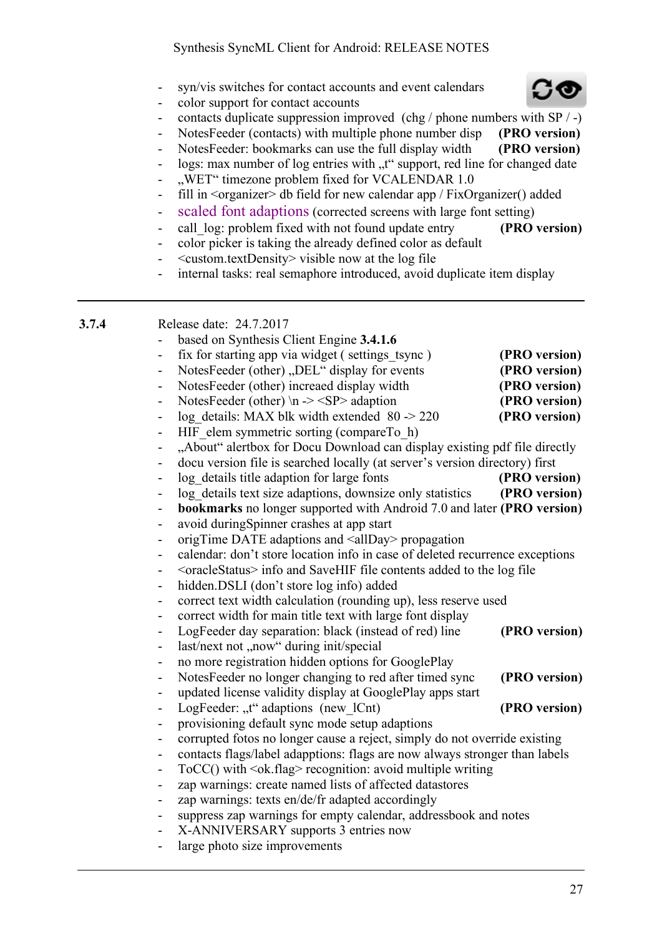- syn/vis switches for contact accounts and event calendars
- color support for contact accounts
- contacts duplicate suppression improved (chg / phone numbers with SP / -)
- NotesFeeder (contacts) with multiple phone number disp **(PRO version)**
- NotesFeeder: bookmarks can use the full display width **(PRO version)**
- logs: max number of log entries with "t" support, red line for changed date
- "WET" timezone problem fixed for VCALENDAR 1.0
- fill in <organizer> db field for new calendar app / FixOrganizer() added
- scaled font adaptions (corrected screens with large font setting)
- call log: problem fixed with not found update entry **(PRO version)**
- color picker is taking the already defined color as default
- <custom.textDensity> visible now at the log file
- internal tasks: real semaphore introduced, avoid duplicate item display

| 3.7.4 |                              | Release date: 24.7.2017                                                       |               |
|-------|------------------------------|-------------------------------------------------------------------------------|---------------|
|       |                              | based on Synthesis Client Engine 3.4.1.6                                      |               |
|       | $\qquad \qquad \blacksquare$ | fix for starting app via widget (settings tsync)                              | (PRO version) |
|       | $\overline{\phantom{0}}$     | NotesFeeder (other) "DEL" display for events                                  | (PRO version) |
|       | $\qquad \qquad \blacksquare$ | NotesFeeder (other) increaed display width                                    | (PRO version) |
|       | $\overline{\phantom{a}}$     | NotesFeeder (other) \n -> $\langle$ SP> adaption                              | (PRO version) |
|       | $\qquad \qquad \blacksquare$ | log details: MAX blk width extended $80 \approx 220$                          | (PRO version) |
|       | $\qquad \qquad \blacksquare$ | HIF elem symmetric sorting (compareTo h)                                      |               |
|       | $\overline{\phantom{a}}$     | "About" alertbox for Docu Download can display existing pdf file directly     |               |
|       | $\qquad \qquad \blacksquare$ | docu version file is searched locally (at server's version directory) first   |               |
|       | $\overline{\phantom{a}}$     | log details title adaption for large fonts                                    | (PRO version) |
|       | $\qquad \qquad \blacksquare$ | log details text size adaptions, downsize only statistics                     | (PRO version) |
|       | $\overline{\phantom{0}}$     | <b>bookmarks</b> no longer supported with Android 7.0 and later (PRO version) |               |
|       | $\overline{\phantom{0}}$     | avoid during Spinner crashes at app start                                     |               |
|       | $\overline{\phantom{0}}$     | origTime DATE adaptions and <allday> propagation</allday>                     |               |
|       | $\qquad \qquad \blacksquare$ | calendar: don't store location info in case of deleted recurrence exceptions  |               |
|       | $\overline{\phantom{0}}$     |                                                                               |               |
|       | $\qquad \qquad \blacksquare$ | hidden.DSLI (don't store log info) added                                      |               |
|       | $\qquad \qquad \blacksquare$ | correct text width calculation (rounding up), less reserve used               |               |
|       |                              | correct width for main title text with large font display                     |               |
|       | $\qquad \qquad \blacksquare$ | LogFeeder day separation: black (instead of red) line                         | (PRO version) |
|       | $\qquad \qquad \blacksquare$ | last/next not "now" during init/special                                       |               |
|       | $\qquad \qquad \blacksquare$ | no more registration hidden options for GooglePlay                            |               |
|       | -                            | NotesFeeder no longer changing to red after timed sync                        | (PRO version) |
|       | $\overline{\phantom{a}}$     | updated license validity display at GooglePlay apps start                     |               |
|       | $\blacksquare$               | LogFeeder: "t" adaptions (new lCnt)                                           | (PRO version) |
|       | $\overline{\phantom{0}}$     | provisioning default sync mode setup adaptions                                |               |
|       | -                            | corrupted fotos no longer cause a reject, simply do not override existing     |               |
|       | $\qquad \qquad \blacksquare$ | contacts flags/label adapptions: flags are now always stronger than labels    |               |
|       | $\overline{\phantom{0}}$     | $ToCC()$ with $<$ ok.flag> recognition: avoid multiple writing                |               |
|       | -                            | zap warnings: create named lists of affected datastores                       |               |
|       | $\qquad \qquad \blacksquare$ | zap warnings: texts en/de/fr adapted accordingly                              |               |
|       | $\qquad \qquad \blacksquare$ | suppress zap warnings for empty calendar, addressbook and notes               |               |
|       | $\qquad \qquad \blacksquare$ | X-ANNIVERSARY supports 3 entries now                                          |               |
|       | -                            | large photo size improvements                                                 |               |

**CC**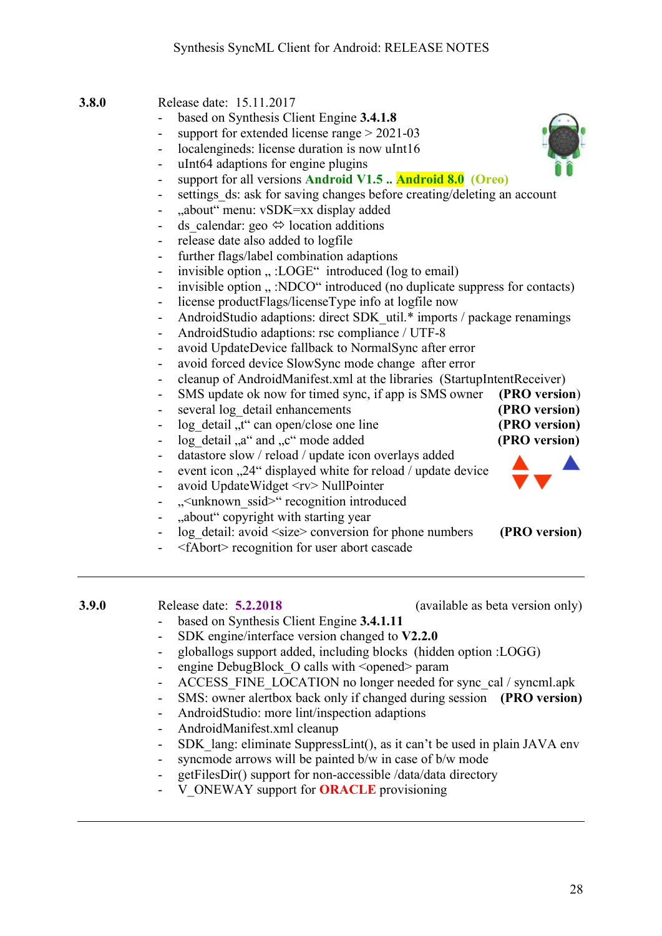- **3.8.0** Release date: 15.11.2017
	- based on Synthesis Client Engine **3.4.1.8**
	- support for extended license range  $> 2021-03$
	- localengineds: license duration is now uInt16
	- uInt64 adaptions for engine plugins
	- support for all versions **Android V1.5 .. Android 8.0 (Oreo)**
	- settings ds: ask for saving changes before creating/deleting an account
	- "about" menu: vSDK=xx display added
	- ds calendar: geo  $\Leftrightarrow$  location additions
	- release date also added to logfile
	- further flags/label combination adaptions
	- invisible option  $\ldots$  :LOGE" introduced (log to email)
	- invisible option ...: NDCO" introduced (no duplicate suppress for contacts)
	- license productFlags/licenseType info at logfile now
	- AndroidStudio adaptions: direct SDK\_util.\* imports / package renamings
	- AndroidStudio adaptions: rsc compliance / UTF-8
	- avoid UpdateDevice fallback to NormalSync after error
	- avoid forced device SlowSync mode change after error
	- cleanup of AndroidManifest.xml at the libraries (StartupIntentReceiver)
	- SMS update ok now for timed sync, if app is SMS owner **(PRO version**)
	- several log detail enhancements **(PRO version)**
	- log detail  $\mathbf{u}^*$  can open/close one line **(PRO version)**
	- log detail "and "c" mode added **(PRO version)**
	- datastore slow / reload / update icon overlays added
	- event icon ...24" displayed white for reload / update device
	- avoid UpdateWidget <rv> NullPointer
	- ...
	sunknown ssid > " recognition introduced
	- "about" copyright with starting year
	- log detail: avoid  $\langle$ size $\rangle$  conversion for phone numbers **(PRO version)**
	- <fAbort> recognition for user abort cascade
- **3.9.0** Release date: **5.2.2018** (available as beta version only)
- - based on Synthesis Client Engine **3.4.1.11**
		- SDK engine/interface version changed to **V2.2.0**
	- globallogs support added, including blocks (hidden option :LOGG)
	- engine DebugBlock O calls with <opened> param
	- ACCESS FINE LOCATION no longer needed for sync\_cal / syncml.apk
	- SMS: owner alertbox back only if changed during session **(PRO version)**
	- AndroidStudio: more lint/inspection adaptions
	- AndroidManifest.xml cleanup
	- SDK lang: eliminate SuppressLint(), as it can't be used in plain JAVA env
	- syncmode arrows will be painted b/w in case of b/w mode
	- getFilesDir() support for non-accessible /data/data directory
	- V\_ONEWAY support for **ORACLE** provisioning



- 
- 
- 
- 
-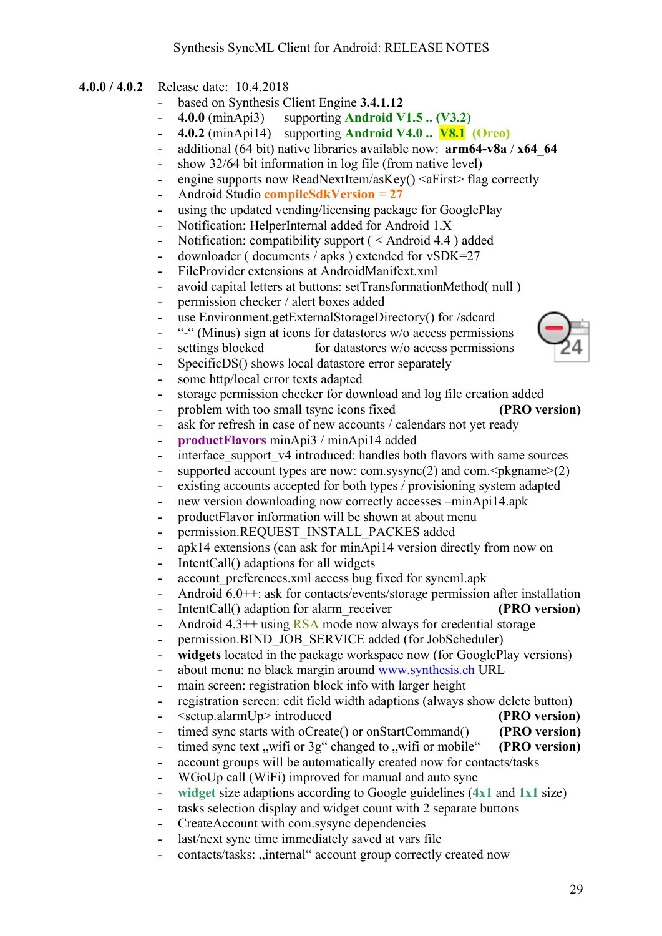- **4.0.0 / 4.0.2** Release date: 10.4.2018
	- based on Synthesis Client Engine **3.4.1.12**
	- **4.0.0** (minApi3) supporting **Android V1.5 .. (V3.2)**
	- **4.0.2** (minApi14) supporting **Android V4.0 .. V8.1 (Oreo)**
	- additional (64 bit) native libraries available now: **arm64-v8a** / **x64\_64**
	- show 32/64 bit information in log file (from native level)
	- engine supports now ReadNextItem/asKey() <aFirst> flag correctly
	- Android Studio **compileSdkVersion = 27**
	- using the updated vending/licensing package for GooglePlay
	- Notification: HelperInternal added for Android 1.X
	- Notification: compatibility support ( < Android 4.4 ) added
	- downloader ( documents / apks ) extended for vSDK=27
	- FileProvider extensions at AndroidManifext.xml
	- avoid capital letters at buttons: setTransformationMethod( null )
	- permission checker / alert boxes added
	- use Environment.getExternalStorageDirectory() for /sdcard
	- "-" (Minus) sign at icons for datastores w/o access permissions
	- settings blocked for datastores w/o access permissions
	- SpecificDS() shows local datastore error separately
	- some http/local error texts adapted
	- storage permission checker for download and log file creation added
	- problem with too small tsync icons fixed **(PRO version)**
	- ask for refresh in case of new accounts / calendars not yet ready
	- **productFlavors** minApi3 / minApi14 added
	- interface support v4 introduced: handles both flavors with same sources
	- supported account types are now: com.sysync(2) and com. $\leq$ pkgname $\geq$ (2)
	- existing accounts accepted for both types / provisioning system adapted
	- new version downloading now correctly accesses –minApi14.apk
	- productFlavor information will be shown at about menu
	- permission.REQUEST\_INSTALL\_PACKES added
	- apk14 extensions (can ask for minApi14 version directly from now on
	- IntentCall() adaptions for all widgets
	- account preferences.xml access bug fixed for syncml.apk
	- Android 6.0++: ask for contacts/events/storage permission after installation
	- IntentCall() adaption for alarm\_receiver **(PRO version)**
	- Android 4.3<sup>++</sup> using RSA mode now always for credential storage
	- permission.BIND\_JOB\_SERVICE added (for JobScheduler)
	- **widgets** located in the package workspace now (for GooglePlay versions)
	- about menu: no black margin around www.synthesis.ch URL
	- main screen: registration block info with larger height
	- registration screen: edit field width adaptions (always show delete button)
	- <setup.alarmUp> introduced **(PRO version)**
	- timed sync starts with oCreate() or onStartCommand() **(PRO version)**
	- timed sync text "wifi or 3g" changed to "wifi or mobile" **(PRO version)**
	- account groups will be automatically created now for contacts/tasks
	- WGoUp call (WiFi) improved for manual and auto sync
	- **widget** size adaptions according to Google guidelines (**4x1** and **1x1** size)
	- tasks selection display and widget count with 2 separate buttons
	- CreateAccount with com.sysync dependencies
	- last/next sync time immediately saved at vars file
	- contacts/tasks: "internal" account group correctly created now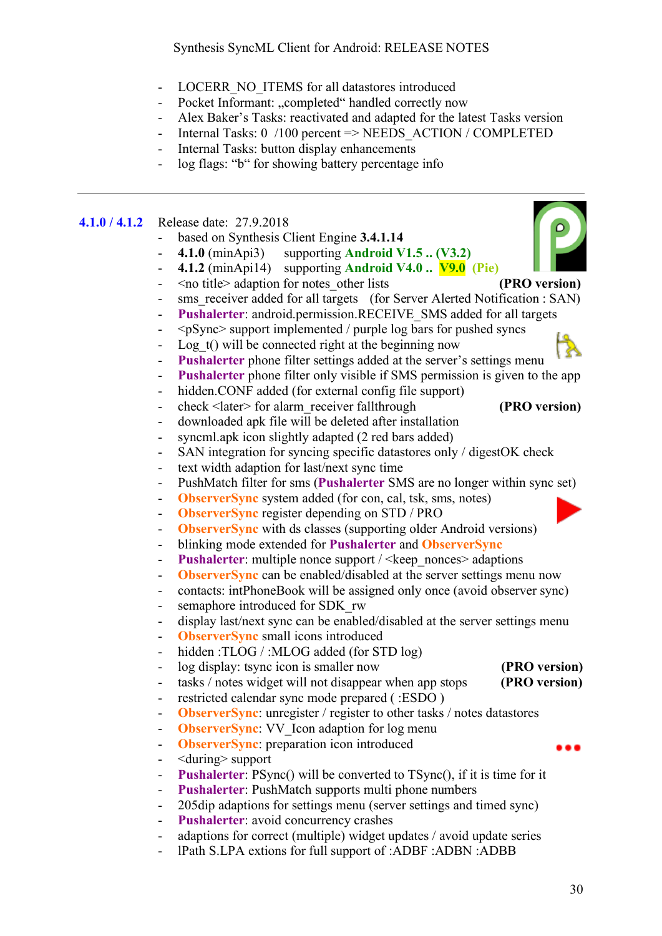- LOCERR\_NO\_ITEMS for all datastores introduced
- Pocket Informant: "completed" handled correctly now
- Alex Baker's Tasks: reactivated and adapted for the latest Tasks version
- Internal Tasks: 0 /100 percent => NEEDS ACTION / COMPLETED
- Internal Tasks: button display enhancements
- log flags: "b" for showing battery percentage info

#### **4.1.0 / 4.1.2** Release date: 27.9.2018

- based on Synthesis Client Engine **3.4.1.14**
- **4.1.0** (minApi3) supporting **Android V1.5 .. (V3.2)**
	- **4.1.2** (minApi14) supporting **Android V4.0 .. V9.0 (Pie)**
- <no title> adaption for notes\_other lists **(PRO version)**
- sms\_receiver added for all targets (for Server Alerted Notification : SAN)
- **Pushalerter**: android.permission.RECEIVE\_SMS added for all targets
- <pSync> support implemented / purple log bars for pushed syncs
- Log  $t()$  will be connected right at the beginning now
- **Pushalerter** phone filter settings added at the server's settings menu
- **Pushalerter** phone filter only visible if SMS permission is given to the app
- hidden.CONF added (for external config file support)
- check <later> for alarm\_receiver fallthrough **(PRO version)**
- downloaded apk file will be deleted after installation
- syncml.apk icon slightly adapted (2 red bars added)
- SAN integration for syncing specific datastores only / digestOK check
- text width adaption for last/next sync time
- PushMatch filter for sms (**Pushalerter** SMS are no longer within sync set)
- **ObserverSync** system added (for con, cal, tsk, sms, notes)
- **ObserverSync** register depending on STD / PRO
- **ObserverSync** with ds classes (supporting older Android versions)
- blinking mode extended for **Pushalerter** and **ObserverSync**
- **Pushalerter**: multiple nonce support / <keep\_nonces> adaptions
- **ObserverSync** can be enabled/disabled at the server settings menu now
- contacts: intPhoneBook will be assigned only once (avoid observer sync)
- semaphore introduced for SDK\_rw
- display last/next sync can be enabled/disabled at the server settings menu
- **ObserverSync** small icons introduced
- hidden :TLOG / :MLOG added (for STD log)
- log display: tsync icon is smaller now **(PRO version)**
- tasks / notes widget will not disappear when app stops **(PRO version)**
- restricted calendar sync mode prepared ( :ESDO )
- **ObserverSync**: unregister / register to other tasks / notes datastores
- **ObserverSync**: VV\_Icon adaption for log menu
- **ObserverSync**: preparation icon introduced
- <during> support
- **Pushalerter**: PSync() will be converted to TSync(), if it is time for it
- **Pushalerter**: PushMatch supports multi phone numbers
- 205dip adaptions for settings menu (server settings and timed sync)
- Pushalerter: avoid concurrency crashes
- adaptions for correct (multiple) widget updates / avoid update series
- lPath S.LPA extions for full support of :ADBF :ADBN :ADBB



- 
- 
- 
-